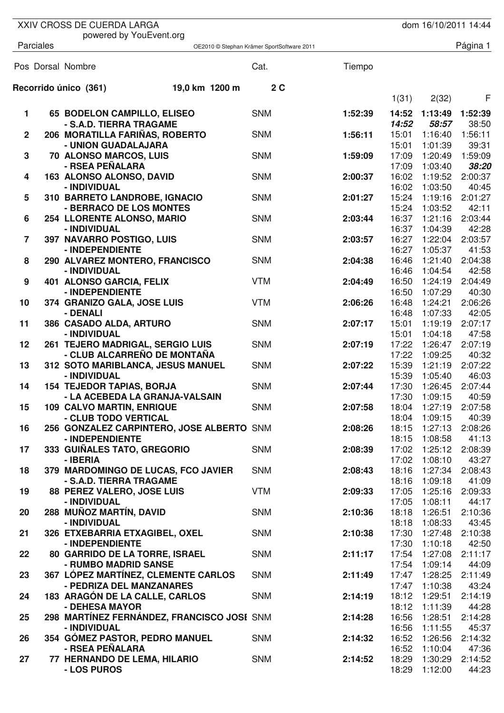|                  |           | XXIV CROSS DE CUERDA LARGA                                         |                                            |         |                | dom 16/10/2011 14:44     |                  |
|------------------|-----------|--------------------------------------------------------------------|--------------------------------------------|---------|----------------|--------------------------|------------------|
|                  |           | powered by YouEvent.org                                            |                                            |         |                |                          |                  |
|                  | Parciales |                                                                    | OE2010 © Stephan Krämer SportSoftware 2011 |         |                |                          | Página 1         |
|                  |           | Pos Dorsal Nombre                                                  | Cat.                                       | Tiempo  |                |                          |                  |
|                  |           | Recorrido único (361)<br>19,0 km 1200 m                            | 2C                                         |         |                |                          |                  |
|                  |           |                                                                    |                                            |         | 1(31)          | 2(32)                    | F                |
| $\mathbf{1}$     |           | 65 BODELON CAMPILLO, ELISEO<br>- S.A.D. TIERRA TRAGAME             | <b>SNM</b>                                 | 1:52:39 | 14:52<br>14:52 | 1:13:49<br>58:57         | 1:52:39<br>38:50 |
| $\mathbf 2$      |           | 206 MORATILLA FARIÑAS, ROBERTO<br>- UNION GUADALAJARA              | <b>SNM</b>                                 | 1:56:11 | 15:01<br>15:01 | 1:16:40<br>1:01:39       | 1:56:11<br>39:31 |
| 3                |           | 70 ALONSO MARCOS, LUIS                                             | <b>SNM</b>                                 | 1:59:09 | 17:09          | 1:20:49                  | 1:59:09          |
| 4                |           | - RSEA PEÑALARA<br>163 ALONSO ALONSO, DAVID                        | <b>SNM</b>                                 | 2:00:37 | 17:09<br>16:02 | 1:03:40<br>1:19:52       | 38:20<br>2:00:37 |
| 5                |           | - INDIVIDUAL<br>310 BARRETO LANDROBE, IGNACIO                      | <b>SNM</b>                                 | 2:01:27 | 16:02<br>15:24 | 1:03:50<br>1:19:16       | 40:45<br>2:01:27 |
| $6\phantom{1}6$  |           | - BERRACO DE LOS MONTES<br>254 LLORENTE ALONSO, MARIO              | <b>SNM</b>                                 | 2:03:44 | 15:24<br>16:37 | 1:03:52<br>1:21:16       | 42:11<br>2:03:44 |
| $\overline{7}$   |           | - INDIVIDUAL                                                       | <b>SNM</b>                                 | 2:03:57 | 16:37<br>16:27 | 1:04:39<br>1:22:04       | 42:28            |
|                  |           | 397 NAVARRO POSTIGO, LUIS<br>- INDEPENDIENTE                       |                                            |         | 16:27          | 1:05:37                  | 2:03:57<br>41:53 |
| 8                |           | 290 ALVAREZ MONTERO, FRANCISCO<br>- INDIVIDUAL                     | <b>SNM</b>                                 | 2:04:38 | 16:46<br>16:46 | 1:21:40<br>1:04:54       | 2:04:38<br>42:58 |
| $\boldsymbol{9}$ |           | <b>401 ALONSO GARCIA, FELIX</b><br>- INDEPENDIENTE                 | <b>VTM</b>                                 | 2:04:49 | 16:50<br>16:50 | 1:24:19<br>1:07:29       | 2:04:49<br>40:30 |
| 10               |           | 374 GRANIZO GALA, JOSE LUIS<br>- DENALI                            | <b>VTM</b>                                 | 2:06:26 | 16:48<br>16:48 | 1:24:21<br>1:07:33       | 2:06:26<br>42:05 |
| 11               |           | 386 CASADO ALDA, ARTURO                                            | <b>SNM</b>                                 | 2:07:17 | 15:01          | 1:19:19                  | 2:07:17          |
| 12               |           | - INDIVIDUAL<br>261 TEJERO MADRIGAL, SERGIO LUIS                   | <b>SNM</b>                                 | 2:07:19 | 15:01<br>17:22 | 1:04:18<br>1:26:47       | 47:58<br>2:07:19 |
| 13               |           | - CLUB ALCARREÑO DE MONTAÑA<br>312 SOTO MARIBLANCA, JESUS MANUEL   | <b>SNM</b>                                 | 2:07:22 | 17:22<br>15:39 | 1:09:25<br>1:21:19       | 40:32<br>2:07:22 |
| 14               |           | - INDIVIDUAL<br><b>154 TEJEDOR TAPIAS, BORJA</b>                   | <b>SNM</b>                                 | 2:07:44 | 15:39<br>17:30 | 1:05:40<br>1:26:45       | 46:03<br>2:07:44 |
| 15               |           | - LA ACEBEDA LA GRANJA-VALSAIN<br><b>109 CALVO MARTIN, ENRIQUE</b> | <b>SNM</b>                                 | 2:07:58 | 18:04          | 17:30 1:09:15<br>1:27:19 | 40:59<br>2:07:58 |
|                  |           | - CLUB TODO VERTICAL                                               |                                            |         | 18:04          | 1:09:15                  | 40:39            |
| 16               |           | 256 GONZALEZ CARPINTERO, JOSE ALBERTO SNM<br>- INDEPENDIENTE       |                                            | 2:08:26 | 18:15<br>18:15 | 1:27:13<br>1:08:58       | 2:08:26<br>41:13 |
| 17               |           | 333 GUIÑALES TATO, GREGORIO<br>- IBERIA                            | <b>SNM</b>                                 | 2:08:39 | 17:02<br>17:02 | 1:25:12<br>1:08:10       | 2:08:39<br>43:27 |
| 18               |           | 379 MARDOMINGO DE LUCAS, FCO JAVIER<br>- S.A.D. TIERRA TRAGAME     | <b>SNM</b>                                 | 2:08:43 | 18:16<br>18:16 | 1:27:34<br>1:09:18       | 2:08:43<br>41:09 |
| 19               |           | 88 PEREZ VALERO, JOSE LUIS                                         | <b>VTM</b>                                 | 2:09:33 | 17:05          | 1:25:16                  | 2:09:33          |
| 20               |           | - INDIVIDUAL<br>288 MUÑOZ MARTÍN, DAVID                            | <b>SNM</b>                                 | 2:10:36 | 17:05<br>18:18 | 1:08:11<br>1:26:51       | 44:17<br>2:10:36 |
| 21               |           | - INDIVIDUAL<br>326 ETXEBARRIA ETXAGIBEL, OXEL                     | <b>SNM</b>                                 | 2:10:38 | 18:18<br>17:30 | 1:08:33<br>1:27:48       | 43:45<br>2:10:38 |
| 22               |           | - INDEPENDIENTE<br>80 GARRIDO DE LA TORRE, ISRAEL                  | <b>SNM</b>                                 | 2:11:17 | 17:30<br>17:54 | 1:10:18<br>1:27:08       | 42:50<br>2:11:17 |
| 23               |           | - RUMBO MADRID SANSE<br>367 LÓPEZ MARTÍNEZ, CLEMENTE CARLOS        | <b>SNM</b>                                 | 2:11:49 | 17:54<br>17:47 | 1:09:14<br>1:28:25       | 44:09<br>2:11:49 |
|                  |           | - PEDRIZA DEL MANZANARES                                           |                                            |         | 17:47          | 1:10:38                  | 43:24            |
| 24               |           | 183 ARAGÓN DE LA CALLE, CARLOS<br>- DEHESA MAYOR                   | <b>SNM</b>                                 | 2:14:19 | 18:12<br>18:12 | 1:29:51<br>1:11:39       | 2:14:19<br>44:28 |
| 25               |           | 298 MARTÍNEZ FERNÁNDEZ, FRANCISCO JOSI SNM<br>- INDIVIDUAL         |                                            | 2:14:28 | 16:56<br>16:56 | 1:28:51<br>1:11:55       | 2:14:28<br>45:37 |
| 26               |           | 354 GÓMEZ PASTOR, PEDRO MANUEL<br>- RSEA PEÑALARA                  | <b>SNM</b>                                 | 2:14:32 | 16:52<br>16:52 | 1:26:56<br>1:10:04       | 2:14:32<br>47:36 |
| 27               |           | 77 HERNANDO DE LEMA, HILARIO<br>- LOS PUROS                        | <b>SNM</b>                                 | 2:14:52 | 18:29<br>18:29 | 1:30:29<br>1:12:00       | 2:14:52<br>44:23 |
|                  |           |                                                                    |                                            |         |                |                          |                  |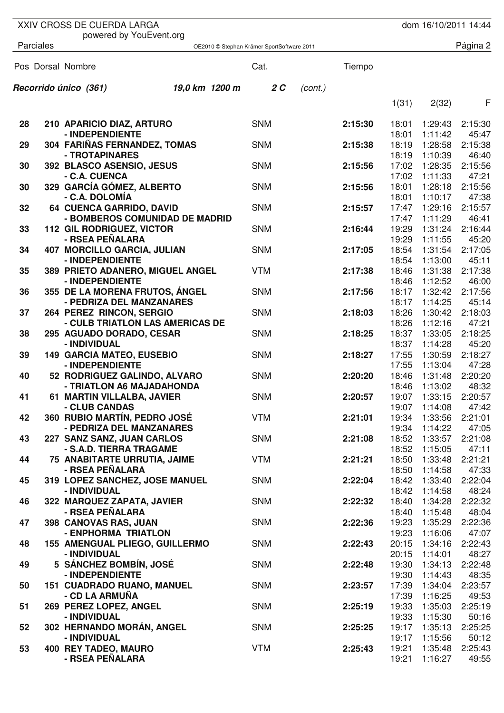|    |           | XXIV CROSS DE CUERDA LARGA                                 |                |                                            |         |         |                | dom 16/10/2011 14:44 |                  |
|----|-----------|------------------------------------------------------------|----------------|--------------------------------------------|---------|---------|----------------|----------------------|------------------|
|    |           | powered by YouEvent.org                                    |                |                                            |         |         |                |                      |                  |
|    | Parciales |                                                            |                | OE2010 © Stephan Krämer SportSoftware 2011 |         |         |                |                      | Página 2         |
|    |           | Pos Dorsal Nombre                                          |                | Cat.                                       |         | Tiempo  |                |                      |                  |
|    |           |                                                            |                |                                            |         |         |                |                      |                  |
|    |           | Recorrido único (361)                                      | 19,0 km 1200 m | 2C                                         | (cont.) |         |                |                      |                  |
|    |           |                                                            |                |                                            |         |         | 1(31)          |                      | F                |
|    |           |                                                            |                |                                            |         |         |                | 2(32)                |                  |
| 28 |           | 210 APARICIO DIAZ, ARTURO                                  |                | <b>SNM</b>                                 |         | 2:15:30 | 18:01          | 1:29:43              | 2:15:30          |
|    |           | - INDEPENDIENTE                                            |                |                                            |         |         | 18:01          | 1:11:42              | 45:47            |
| 29 |           | 304 FARIÑAS FERNANDEZ, TOMAS                               |                | <b>SNM</b>                                 |         | 2:15:38 | 18:19          | 1:28:58              | 2:15:38          |
|    |           | - TROTAPINARES                                             |                |                                            |         |         | 18:19          | 1:10:39              | 46:40            |
| 30 |           | 392 BLASCO ASENSIO, JESUS                                  |                | <b>SNM</b>                                 |         | 2:15:56 | 17:02          | 1:28:35              | 2:15:56          |
|    |           | - C.A. CUENCA                                              |                |                                            |         |         | 17:02          | 1:11:33              | 47:21            |
| 30 |           | 329 GARCÍA GÓMEZ, ALBERTO                                  |                | <b>SNM</b>                                 |         | 2:15:56 | 18:01          | 1:28:18              | 2:15:56          |
|    |           | - C.A. DOLOMÍA                                             |                |                                            |         |         | 18:01          | 1:10:17              | 47:38            |
| 32 |           | 64 CUENCA GARRIDO, DAVID                                   |                | <b>SNM</b>                                 |         | 2:15:57 | 17:47          | 1:29:16              | 2:15:57          |
|    |           | - BOMBEROS COMUNIDAD DE MADRID                             |                |                                            |         |         | 17:47          | 1:11:29              | 46:41            |
| 33 |           | <b>112 GIL RODRIGUEZ, VICTOR</b>                           |                | <b>SNM</b>                                 |         | 2:16:44 | 19:29          | 1:31:24              | 2:16:44          |
|    |           | - RSEA PEÑALARA                                            |                |                                            |         |         | 19:29          | 1:11:55              | 45:20            |
| 34 |           | 407 MORCILLO GARCIA, JULIAN                                |                | <b>SNM</b>                                 |         | 2:17:05 | 18:54          | 1:31:54              | 2:17:05          |
|    |           | - INDEPENDIENTE                                            |                |                                            |         |         | 18:54          | 1:13:00              | 45:11            |
| 35 |           | 389 PRIETO ADANERO, MIGUEL ANGEL                           |                | <b>VTM</b>                                 |         | 2:17:38 | 18:46          | 1:31:38              | 2:17:38          |
|    |           | - INDEPENDIENTE                                            |                | <b>SNM</b>                                 |         |         | 18:46          | 1:12:52<br>1:32:42   | 46:00<br>2:17:56 |
| 36 |           | 355 DE LA MORENA FRUTOS, ÁNGEL<br>- PEDRIZA DEL MANZANARES |                |                                            |         | 2:17:56 | 18:17<br>18:17 | 1:14:25              | 45:14            |
| 37 |           | 264 PEREZ RINCON, SERGIO                                   |                | <b>SNM</b>                                 |         | 2:18:03 | 18:26          | 1:30:42              | 2:18:03          |
|    |           | - CULB TRIATLON LAS AMERICAS DE                            |                |                                            |         |         | 18:26          | 1:12:16              | 47:21            |
| 38 |           | 295 AGUADO DORADO, CESAR                                   |                | <b>SNM</b>                                 |         | 2:18:25 | 18:37          | 1:33:05              | 2:18:25          |
|    |           | - INDIVIDUAL                                               |                |                                            |         |         | 18:37          | 1:14:28              | 45:20            |
| 39 |           | <b>149 GARCIA MATEO, EUSEBIO</b>                           |                | <b>SNM</b>                                 |         | 2:18:27 | 17:55          | 1:30:59              | 2:18:27          |
|    |           | - INDEPENDIENTE                                            |                |                                            |         |         | 17:55          | 1:13:04              | 47:28            |
| 40 |           | 52 RODRIGUEZ GALINDO, ALVARO                               |                | <b>SNM</b>                                 |         | 2:20:20 | 18:46          | 1:31:48              | 2:20:20          |
|    |           | - TRIATLON A6 MAJADAHONDA                                  |                |                                            |         |         | 18:46          | 1:13:02              | 48:32            |
| 41 |           | 61 MARTIN VILLALBA, JAVIER                                 |                | <b>SNM</b>                                 |         | 2:20:57 | 19:07          | 1:33:15              | 2:20:57          |
|    |           | - CLUB CANDAS                                              |                |                                            |         |         | 19:07          | 1:14:08              | 47:42            |
| 42 |           | 360 RUBIO MARTÍN, PEDRO JOSÉ                               |                | <b>VTM</b>                                 |         | 2:21:01 | 19:34          | 1:33:56              | 2:21:01          |
|    |           | - PEDRIZA DEL MANZANARES                                   |                |                                            |         |         | 19:34          | 1:14:22              | 47:05            |
| 43 |           | 227 SANZ SANZ, JUAN CARLOS                                 |                | <b>SNM</b>                                 |         | 2:21:08 | 18:52          | 1:33:57              | 2:21:08          |
|    |           | - S.A.D. TIERRA TRAGAME                                    |                |                                            |         |         | 18:52          | 1:15:05              | 47:11            |
| 44 |           | 75 ANABITARTE URRUTIA, JAIME                               |                | <b>VTM</b>                                 |         | 2:21:21 | 18:50          | 1:33:48              | 2:21:21          |
|    |           | - RSEA PEÑALARA                                            |                |                                            |         |         | 18:50          | 1:14:58              | 47:33            |
| 45 |           | 319 LOPEZ SANCHEZ, JOSE MANUEL                             |                | <b>SNM</b>                                 |         | 2:22:04 | 18:42          | 1:33:40              | 2:22:04          |
|    |           | - INDIVIDUAL                                               |                |                                            |         |         | 18:42          | 1:14:58              | 48:24            |
| 46 |           | 322 MARQUEZ ZAPATA, JAVIER                                 |                | SNM                                        |         | 2:22:32 | 18:40          | 1:34:28              | 2:22:32          |
|    |           | - RSEA PEÑALARA                                            |                |                                            |         |         | 18:40          | 1:15:48              | 48:04            |
| 47 |           | 398 CANOVAS RAS, JUAN                                      |                | <b>SNM</b>                                 |         | 2:22:36 | 19:23          | 1:35:29              | 2:22:36          |
| 48 |           | - ENPHORMA TRIATLON<br>155 AMENGUAL PLIEGO, GUILLERMO      |                | <b>SNM</b>                                 |         | 2:22:43 | 19:23<br>20:15 | 1:16:06<br>1:34:16   | 47:07<br>2:22:43 |
|    |           | - INDIVIDUAL                                               |                |                                            |         |         | 20:15          | 1:14:01              | 48:27            |
| 49 |           | 5 SÁNCHEZ BOMBÍN, JOSÉ                                     |                | <b>SNM</b>                                 |         | 2:22:48 | 19:30          | 1:34:13              | 2:22:48          |
|    |           | - INDEPENDIENTE                                            |                |                                            |         |         | 19:30          | 1:14:43              | 48:35            |
| 50 |           | <b>151 CUADRADO RUANO, MANUEL</b>                          |                | <b>SNM</b>                                 |         | 2:23:57 | 17:39          | 1:34:04              | 2:23:57          |
|    |           | - CD LA ARMUÑA                                             |                |                                            |         |         | 17:39          | 1:16:25              | 49:53            |
| 51 |           | 269 PEREZ LOPEZ, ANGEL                                     |                | <b>SNM</b>                                 |         | 2:25:19 | 19:33          | 1:35:03              | 2:25:19          |
|    |           | - INDIVIDUAL                                               |                |                                            |         |         | 19:33          | 1:15:30              | 50:16            |
| 52 |           | 302 HERNANDO MORÁN, ANGEL                                  |                | <b>SNM</b>                                 |         | 2:25:25 | 19:17          | 1:35:13              | 2:25:25          |
|    |           | - INDIVIDUAL                                               |                |                                            |         |         | 19:17          | 1:15:56              | 50:12            |
| 53 |           | 400 REY TADEO, MAURO                                       |                | <b>VTM</b>                                 |         | 2:25:43 | 19:21          | 1:35:48              | 2:25:43          |
|    |           | - RSEA PEÑALARA                                            |                |                                            |         |         | 19:21          | 1:16:27              | 49:55            |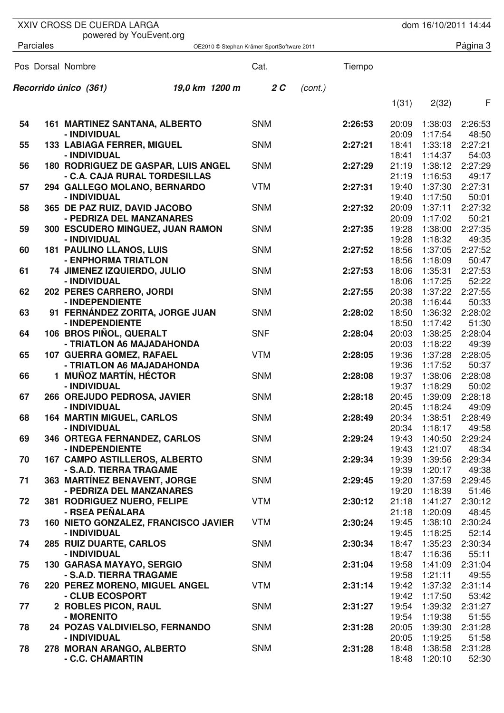|    |           | XXIV CROSS DE CUERDA LARGA                               |                                            |    |         |         |                | dom 16/10/2011 14:44 |                  |
|----|-----------|----------------------------------------------------------|--------------------------------------------|----|---------|---------|----------------|----------------------|------------------|
|    |           | powered by YouEvent.org                                  |                                            |    |         |         |                |                      |                  |
|    | Parciales |                                                          | OE2010 © Stephan Krämer SportSoftware 2011 |    |         |         |                |                      | Página 3         |
|    |           | Pos Dorsal Nombre                                        | Cat.                                       |    |         | Tiempo  |                |                      |                  |
|    |           |                                                          |                                            |    |         |         |                |                      |                  |
|    |           | 19,0 km 1200 m<br>Recorrido único (361)                  |                                            | 2C | (cont.) |         |                |                      |                  |
|    |           |                                                          |                                            |    |         |         | 1(31)          | 2(32)                | F                |
| 54 |           | 161 MARTINEZ SANTANA, ALBERTO                            | <b>SNM</b>                                 |    |         | 2:26:53 | 20:09          | 1:38:03              | 2:26:53          |
|    |           | - INDIVIDUAL                                             |                                            |    |         |         | 20:09          | 1:17:54              | 48:50            |
| 55 |           | <b>133 LABIAGA FERRER, MIGUEL</b>                        | <b>SNM</b>                                 |    |         | 2:27:21 | 18:41          | 1:33:18              | 2:27:21          |
|    |           | - INDIVIDUAL                                             |                                            |    |         |         | 18:41          | 1:14:37              | 54:03            |
| 56 |           | 180 RODRIGUEZ DE GASPAR, LUIS ANGEL                      | <b>SNM</b>                                 |    |         | 2:27:29 | 21:19          | 1:38:12              | 2:27:29          |
|    |           | - C.A. CAJA RURAL TORDESILLAS                            |                                            |    |         |         | 21:19          | 1:16:53              | 49:17            |
| 57 |           | 294 GALLEGO MOLANO, BERNARDO                             | <b>VTM</b>                                 |    |         | 2:27:31 | 19:40          | 1:37:30              | 2:27:31          |
|    |           | - INDIVIDUAL                                             |                                            |    |         |         | 19:40          | 1:17:50              | 50:01            |
| 58 |           | 365 DE PAZ RUIZ, DAVID JACOBO                            | <b>SNM</b>                                 |    |         | 2:27:32 | 20:09          | 1:37:11              | 2:27:32          |
|    |           | - PEDRIZA DEL MANZANARES                                 |                                            |    |         |         | 20:09          | 1:17:02              | 50:21            |
| 59 |           | 300 ESCUDERO MINGUEZ, JUAN RAMON                         | <b>SNM</b>                                 |    |         | 2:27:35 | 19:28          | 1:38:00              | 2:27:35          |
|    |           | - INDIVIDUAL                                             |                                            |    |         |         | 19:28          | 1:18:32              | 49:35            |
| 60 |           | <b>181 PAULINO LLANOS, LUIS</b>                          | <b>SNM</b>                                 |    |         | 2:27:52 | 18:56          | 1:37:05              | 2:27:52          |
|    |           | - ENPHORMA TRIATLON                                      |                                            |    |         |         | 18:56          | 1:18:09              | 50:47            |
| 61 |           | 74 JIMENEZ IZQUIERDO, JULIO                              | <b>SNM</b>                                 |    |         | 2:27:53 | 18:06          | 1:35:31              | 2:27:53          |
|    |           | - INDIVIDUAL                                             |                                            |    |         |         | 18:06          | 1:17:25              | 52:22            |
| 62 |           | 202 PERES CARRERO, JORDI                                 | <b>SNM</b>                                 |    |         | 2:27:55 | 20:38          | 1:37:22              | 2:27:55          |
|    |           | - INDEPENDIENTE                                          |                                            |    |         |         | 20:38          | 1:16:44              | 50:33            |
| 63 |           | 91 FERNÁNDEZ ZORITA, JORGE JUAN                          | <b>SNM</b>                                 |    |         | 2:28:02 | 18:50          | 1:36:32              | 2:28:02          |
|    |           | - INDEPENDIENTE                                          |                                            |    |         |         | 18:50          | 1:17:42              | 51:30            |
| 64 |           | 106 BROS PIÑOL, QUERALT                                  | <b>SNF</b>                                 |    |         | 2:28:04 | 20:03          | 1:38:25              | 2:28:04          |
|    |           | - TRIATLON A6 MAJADAHONDA                                |                                            |    |         |         | 20:03          | 1:18:22              | 49:39            |
| 65 |           | 107 GUERRA GOMEZ, RAFAEL                                 | <b>VTM</b>                                 |    |         | 2:28:05 | 19:36          | 1:37:28              | 2:28:05          |
|    |           | - TRIATLON A6 MAJADAHONDA                                |                                            |    |         |         | 19:36          | 1:17:52              | 50:37            |
| 66 |           | 1 MUÑOZ MARTÍN, HÉCTOR                                   | <b>SNM</b>                                 |    |         | 2:28:08 | 19:37          | 1:38:06              | 2:28:08          |
|    |           | - INDIVIDUAL                                             |                                            |    |         |         | 19:37          | 1:18:29              | 50:02            |
| 67 |           | 266 OREJUDO PEDROSA, JAVIER                              | <b>SNM</b>                                 |    |         | 2:28:18 | 20:45          | 1:39:09              | 2:28:18          |
|    |           | - INDIVIDUAL                                             |                                            |    |         |         | 20:45          | 1:18:24              | 49:09            |
| 68 |           | <b>164 MARTIN MIGUEL, CARLOS</b>                         | <b>SNM</b>                                 |    |         | 2:28:49 | 20:34          | 1:38:51              | 2:28:49          |
|    |           | - INDIVIDUAL                                             |                                            |    |         |         | 20:34          | 1:18:17              | 49:58            |
| 69 |           | 346 ORTEGA FERNANDEZ, CARLOS                             | <b>SNM</b>                                 |    |         | 2:29:24 | 19:43          | 1:40:50              | 2:29:24          |
|    |           | - INDEPENDIENTE                                          |                                            |    |         |         | 19:43          | 1:21:07              | 48:34            |
| 70 |           | 167 CAMPO ASTILLEROS, ALBERTO<br>- S.A.D. TIERRA TRAGAME | <b>SNM</b>                                 |    |         | 2:29:34 | 19:39<br>19:39 | 1:39:56<br>1:20:17   | 2:29:34<br>49:38 |
| 71 |           | 363 MARTÍNEZ BENAVENT, JORGE                             | <b>SNM</b>                                 |    |         | 2:29:45 | 19:20          | 1:37:59              | 2:29:45          |
|    |           | - PEDRIZA DEL MANZANARES                                 |                                            |    |         |         | 19:20          | 1:18:39              | 51:46            |
| 72 |           | 381 RODRIGUEZ NUERO, FELIPE                              | <b>VTM</b>                                 |    |         | 2:30:12 | 21:18          | 1:41:27              | 2:30:12          |
|    |           | - RSEA PEÑALARA                                          |                                            |    |         |         | 21:18          | 1:20:09              | 48:45            |
| 73 |           | 160 NIETO GONZALEZ, FRANCISCO JAVIER                     | <b>VTM</b>                                 |    |         | 2:30:24 | 19:45          | 1:38:10              | 2:30:24          |
|    |           | - INDIVIDUAL                                             |                                            |    |         |         | 19:45          | 1:18:25              | 52:14            |
| 74 |           | 285 RUIZ DUARTE, CARLOS                                  | <b>SNM</b>                                 |    |         | 2:30:34 | 18:47          | 1:35:23              | 2:30:34          |
|    |           | - INDIVIDUAL                                             |                                            |    |         |         | 18:47          | 1:16:36              | 55:11            |
| 75 |           | <b>130 GARASA MAYAYO, SERGIO</b>                         | <b>SNM</b>                                 |    |         | 2:31:04 | 19:58          | 1:41:09              | 2:31:04          |
|    |           | - S.A.D. TIERRA TRAGAME                                  |                                            |    |         |         | 19:58          | 1:21:11              | 49:55            |
| 76 |           | 220 PEREZ MORENO, MIGUEL ANGEL                           | <b>VTM</b>                                 |    |         | 2:31:14 | 19:42          | 1:37:32              | 2:31:14          |
|    |           | - CLUB ECOSPORT                                          |                                            |    |         |         | 19:42          | 1:17:50              | 53:42            |
| 77 |           | 2 ROBLES PICON, RAUL                                     | <b>SNM</b>                                 |    |         | 2:31:27 | 19:54          | 1:39:32              | 2:31:27          |
|    |           | - MORENITO                                               |                                            |    |         |         | 19:54          | 1:19:38              | 51:55            |
| 78 |           | 24 POZAS VALDIVIELSO, FERNANDO                           | <b>SNM</b>                                 |    |         | 2:31:28 | 20:05          | 1:39:30              | 2:31:28          |
|    |           | - INDIVIDUAL                                             |                                            |    |         |         | 20:05          | 1:19:25              | 51:58            |
| 78 |           | 278 MORAN ARANGO, ALBERTO                                | <b>SNM</b>                                 |    |         | 2:31:28 | 18:48          | 1:38:58              | 2:31:28          |
|    |           | - C.C. CHAMARTIN                                         |                                            |    |         |         | 18:48          | 1:20:10              | 52:30            |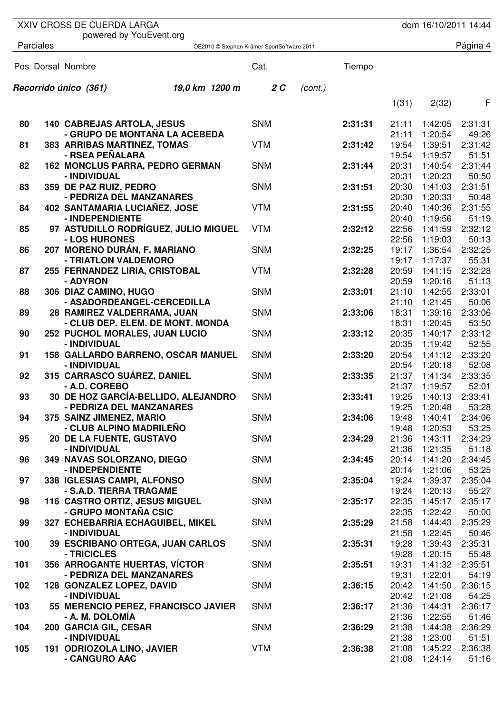|           | XXIV CROSS DE CUERDA LARGA                                            |            |         |         |                | dom 16/10/2011 14:44     |                  |
|-----------|-----------------------------------------------------------------------|------------|---------|---------|----------------|--------------------------|------------------|
| Parciales | powered by YouEvent.org<br>OE2010 © Stephan Krämer SportSoftware 2011 |            |         |         |                |                          | Página 4         |
|           |                                                                       |            |         |         |                |                          |                  |
|           | Pos Dorsal Nombre                                                     | Cat.       |         | Tiempo  |                |                          |                  |
|           | 19,0 km 1200 m<br>Recorrido único (361)                               | 2C         | (cont.) |         |                |                          |                  |
|           |                                                                       |            |         |         | 1(31)          | 2(32)                    | $\mathsf{F}$     |
| 80        | <b>140 CABREJAS ARTOLA, JESUS</b>                                     | <b>SNM</b> |         | 2:31:31 | 21:11          | 1:42:05                  | 2:31:31          |
|           | - GRUPO DE MONTAÑA LA ACEBEDA                                         |            |         |         | 21:11          | 1:20:54                  | 49:26            |
| 81        | <b>383 ARRIBAS MARTINEZ, TOMAS</b>                                    | <b>VTM</b> |         | 2:31:42 | 19:54          | 1:39:51                  | 2:31:42          |
|           | - RSEA PEÑALARA                                                       |            |         |         | 19:54          | 1:19:57                  | 51:51            |
| 82        | 162 MONCLUS PARRA, PEDRO GERMAN<br>- INDIVIDUAL                       | <b>SNM</b> |         | 2:31:44 | 20:31<br>20:31 | 1:40:54<br>1:20:23       | 2:31:44<br>50:50 |
| 83        | 359 DE PAZ RUIZ, PEDRO                                                | <b>SNM</b> |         | 2:31:51 | 20:30          | 1:41:03                  | 2:31:51          |
|           | - PEDRIZA DEL MANZANARES                                              |            |         |         | 20:30          | 1:20:33                  | 50:48            |
| 84        | 402 SANTAMARIA LUCIAÑEZ, JOSE                                         | <b>VTM</b> |         | 2:31:55 | 20:40          | 1:40:36                  | 2:31:55          |
| 85        | - INDEPENDIENTE<br>97 ASTUDILLO RODRÍGUEZ, JULIO MIGUEL               | <b>VTM</b> |         | 2:32:12 | 20:40<br>22:56 | 1:19:56<br>1:41:59       | 51:19<br>2:32:12 |
|           | - LOS HURONES                                                         |            |         |         | 22:56          | 1:19:03                  | 50:13            |
| 86        | 207 MORENO DURÁN, F. MARIANO                                          | <b>SNM</b> |         | 2:32:25 | 19:17          | 1:36:54                  | 2:32:25          |
|           | - TRIATLON VALDEMORO                                                  |            |         |         | 19:17          | 1:17:37                  | 55:31            |
| 87        | 255 FERNANDEZ LIRIA, CRISTOBAL<br>- ADYRON                            | <b>VTM</b> |         | 2:32:28 | 20:59<br>20:59 | 1:41:15<br>1:20:16       | 2:32:28<br>51:13 |
| 88        | 306 DIAZ CAMINO, HUGO                                                 | <b>SNM</b> |         | 2:33:01 | 21:10          | 1:42:55                  | 2:33:01          |
|           | - ASADORDEANGEL-CERCEDILLA                                            |            |         |         | 21:10          | 1:21:45                  | 50:06            |
| 89        | 28 RAMIREZ VALDERRAMA, JUAN                                           | <b>SNM</b> |         | 2:33:06 | 18:31          | 1:39:16                  | 2:33:06          |
|           | - CLUB DEP. ELEM. DE MONT. MONDA                                      |            |         |         | 18:31          | 1:20:45                  | 53:50            |
| 90        | 252 PUCHOL MORALES, JUAN LUCIO<br>- INDIVIDUAL                        | <b>SNM</b> |         | 2:33:12 | 20:35<br>20:35 | 1:40:17<br>1:19:42       | 2:33:12<br>52:55 |
| 91        | 158 GALLARDO BARRENO, OSCAR MANUEL                                    | <b>SNM</b> |         | 2:33:20 | 20:54          | 1:41:12                  | 2:33:20          |
|           | - INDIVIDUAL                                                          |            |         |         | 20:54          | 1:20:18                  | 52:08            |
| 92        | 315 CARRASCO SUÁREZ, DANIEL                                           | <b>SNM</b> |         | 2:33:35 | 21:37          | 1:41:34                  | 2:33:35          |
| 93        | - A.D. COREBO<br>30 DE HOZ GARCÍA-BELLIDO, ALEJANDRO                  | <b>SNM</b> |         | 2:33:41 | 21:37          | 1:19:57<br>19:25 1:40:13 | 52:01<br>2:33:41 |
|           | - PEDRIZA DEL MANZANARES                                              |            |         |         | 19:25          | 1:20:48                  | 53:28            |
| 94        | 375 SAINZ JIMENEZ, MARIO                                              | SNM        |         | 2:34:06 | 19:48          | 1:40:41                  | 2:34:06          |
|           | - CLUB ALPINO MADRILEÑO                                               |            |         |         | 19:48          | 1:20:53                  | 53:25            |
| 95        | 20 DE LA FUENTE, GUSTAVO                                              | <b>SNM</b> |         | 2:34:29 | 21:36          | 1:43:11<br>1:21:35       | 2:34:29          |
| 96        | - INDIVIDUAL<br>349 NAVAS SOLORZANO, DIEGO                            | <b>SNM</b> |         | 2:34:45 | 21:36<br>20:14 | 1:41:20                  | 51:18<br>2:34:45 |
|           | - INDEPENDIENTE                                                       |            |         |         | 20:14          | 1:21:06                  | 53:25            |
| 97        | 338 IGLESIAS CAMPI, ALFONSO                                           | <b>SNM</b> |         | 2:35:04 | 19:24          | 1:39:37                  | 2:35:04          |
|           | - S.A.D. TIERRA TRAGAME<br>116 CASTRO ORTIZ, JESUS MIGUEL             |            |         |         | 19:24          | 1:20:13                  | 55:27            |
| 98        | - GRUPO MONTAÑA CSIC                                                  | <b>SNM</b> |         | 2:35:17 | 22:35<br>22:35 | 1:45:17<br>1:22:42       | 2:35:17<br>50:00 |
| 99        | 327 ECHEBARRIA ECHAGUIBEL, MIKEL                                      | <b>SNM</b> |         | 2:35:29 | 21:58          | 1:44:43                  | 2:35:29          |
|           | - INDIVIDUAL                                                          |            |         |         | 21:58          | 1:22:45                  | 50:46            |
| 100       | 39 ESCRIBANO ORTEGA, JUAN CARLOS                                      | <b>SNM</b> |         | 2:35:31 | 19:28          | 1:39:43                  | 2:35:31          |
| 101       | - TRICICLES<br>356 ARROGANTE HUERTAS, VÍCTOR                          | <b>SNM</b> |         | 2:35:51 | 19:28<br>19:31 | 1:20:15<br>1:41:32       | 55:48<br>2:35:51 |
|           | - PEDRIZA DEL MANZANARES                                              |            |         |         | 19:31          | 1:22:01                  | 54:19            |
| 102       | 128 GONZALEZ LOPEZ, DAVID                                             | <b>SNM</b> |         | 2:36:15 | 20:42          | 1:41:50                  | 2:36:15          |
|           | - INDIVIDUAL                                                          |            |         |         | 20:42          | 1:21:08                  | 54:25            |
| 103       | 55 MERENCIO PEREZ, FRANCISCO JAVIER<br>- A. M. DOLOMÍA                | <b>SNM</b> |         | 2:36:17 | 21:36<br>21:36 | 1:44:31<br>1:22:55       | 2:36:17<br>51:46 |
| 104       | 200 GARCIA GIL, CESAR                                                 | <b>SNM</b> |         | 2:36:29 | 21:38          | 1:44:38                  | 2:36:29          |
|           | - INDIVIDUAL                                                          |            |         |         | 21:38          | 1:23:00                  | 51:51            |
| 105       | 191 ODRIOZOLA LINO, JAVIER                                            | <b>VTM</b> |         | 2:36:38 | 21:08          | 1:45:22                  | 2:36:38          |
|           | - CANGURO AAC                                                         |            |         |         | 21:08          | 1:24:14                  | 51:16            |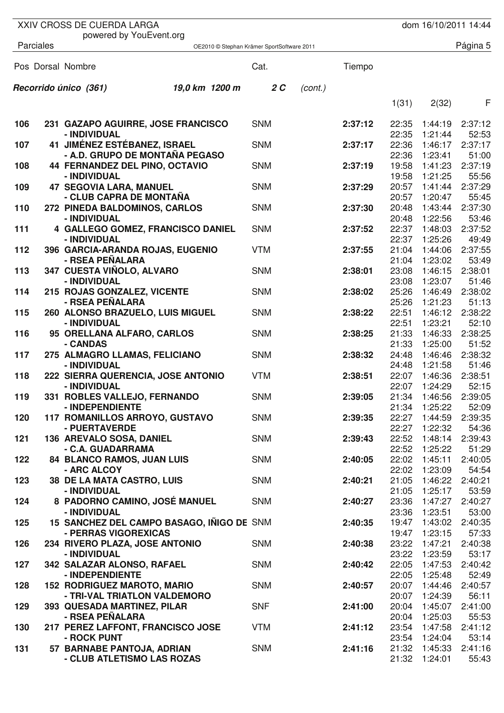|     |           | XXIV CROSS DE CUERDA LARGA                                            |            |         |         |                | dom 16/10/2011 14:44 |                  |
|-----|-----------|-----------------------------------------------------------------------|------------|---------|---------|----------------|----------------------|------------------|
|     | Parciales | powered by YouEvent.org<br>OE2010 © Stephan Krämer SportSoftware 2011 |            |         |         |                |                      | Página 5         |
|     |           |                                                                       |            |         |         |                |                      |                  |
|     |           | Pos Dorsal Nombre                                                     | Cat.       |         | Tiempo  |                |                      |                  |
|     |           | 19,0 km 1200 m<br>Recorrido único (361)                               | 2C         | (cont.) |         |                |                      |                  |
|     |           |                                                                       |            |         |         |                |                      | F                |
|     |           |                                                                       |            |         |         | 1(31)          | 2(32)                |                  |
| 106 |           | 231 GAZAPO AGUIRRE, JOSE FRANCISCO                                    | <b>SNM</b> |         | 2:37:12 | 22:35          | 1:44:19              | 2:37:12          |
|     |           | - INDIVIDUAL                                                          |            |         |         | 22:35          | 1:21:44              | 52:53            |
| 107 |           | 41 JIMÉNEZ ESTÉBANEZ, ISRAEL                                          | <b>SNM</b> |         | 2:37:17 | 22:36          | 1:46:17              | 2:37:17          |
| 108 |           | - A.D. GRUPO DE MONTAÑA PEGASO<br>44 FERNANDEZ DEL PINO, OCTAVIO      | <b>SNM</b> |         | 2:37:19 | 22:36<br>19:58 | 1:23:41<br>1:41:23   | 51:00<br>2:37:19 |
|     |           | - INDIVIDUAL                                                          |            |         |         | 19:58          | 1:21:25              | 55:56            |
| 109 |           | <b>47 SEGOVIA LARA, MANUEL</b>                                        | <b>SNM</b> |         | 2:37:29 | 20:57          | 1:41:44              | 2:37:29          |
|     |           | - CLUB CAPRA DE MONTAÑA                                               |            |         |         | 20:57          | 1:20:47              | 55:45            |
| 110 |           | 272 PINEDA BALDOMINOS, CARLOS                                         | <b>SNM</b> |         | 2:37:30 | 20:48          | 1:43:44              | 2:37:30          |
|     |           | - INDIVIDUAL                                                          |            |         |         | 20:48          | 1:22:56              | 53:46            |
| 111 |           | 4 GALLEGO GOMEZ, FRANCISCO DANIEL<br>- INDIVIDUAL                     | <b>SNM</b> |         | 2:37:52 | 22:37<br>22:37 | 1:48:03<br>1:25:26   | 2:37:52<br>49:49 |
| 112 |           | 396 GARCIA-ARANDA ROJAS, EUGENIO                                      | <b>VTM</b> |         | 2:37:55 | 21:04          | 1:44:06              | 2:37:55          |
|     |           | - RSEA PEÑALARA                                                       |            |         |         | 21:04          | 1:23:02              | 53:49            |
| 113 |           | 347 CUESTA VIÑOLO, ALVARO                                             | <b>SNM</b> |         | 2:38:01 | 23:08          | 1:46:15              | 2:38:01          |
|     |           | - INDIVIDUAL                                                          |            |         |         | 23:08          | 1:23:07              | 51:46            |
| 114 |           | 215 ROJAS GONZALEZ, VICENTE<br>- RSEA PEÑALARA                        | <b>SNM</b> |         | 2:38:02 | 25:26          | 1:46:49              | 2:38:02          |
| 115 |           | 260 ALONSO BRAZUELO, LUIS MIGUEL                                      | <b>SNM</b> |         | 2:38:22 | 25:26<br>22:51 | 1:21:23<br>1:46:12   | 51:13<br>2:38:22 |
|     |           | - INDIVIDUAL                                                          |            |         |         | 22:51          | 1:23:21              | 52:10            |
| 116 |           | 95 ORELLANA ALFARO, CARLOS                                            | <b>SNM</b> |         | 2:38:25 | 21:33          | 1:46:33              | 2:38:25          |
|     |           | - CANDAS                                                              |            |         |         | 21:33          | 1:25:00              | 51:52            |
| 117 |           | 275 ALMAGRO LLAMAS, FELICIANO                                         | <b>SNM</b> |         | 2:38:32 | 24:48          | 1:46:46              | 2:38:32          |
| 118 |           | - INDIVIDUAL                                                          | <b>VTM</b> |         | 2:38:51 | 24:48<br>22:07 | 1:21:58<br>1:46:36   | 51:46<br>2:38:51 |
|     |           | 222 SIERRA QUERENCIA, JOSE ANTONIO<br>- INDIVIDUAL                    |            |         |         | 22:07          | 1:24:29              | 52:15            |
| 119 |           | 331 ROBLES VALLEJO, FERNANDO                                          | <b>SNM</b> |         | 2:39:05 |                | 21:34 1:46:56        | 2:39:05          |
|     |           | - INDEPENDIENTE                                                       |            |         |         |                | 21:34 1:25:22        | 52:09            |
| 120 |           | 117 ROMANILLOS ARROYO, GUSTAVO                                        | <b>SNM</b> |         | 2:39:35 | 22:27          | 1:44:59              | 2:39:35          |
|     |           | - PUERTAVERDE                                                         |            |         |         | 22:27          | 1:22:32              | 54:36            |
| 121 |           | 136 AREVALO SOSA, DANIEL<br>- C.A. GUADARRAMA                         | <b>SNM</b> |         | 2:39:43 | 22:52<br>22:52 | 1:48:14<br>1:25:22   | 2:39:43<br>51:29 |
| 122 |           | 84 BLANCO RAMOS, JUAN LUIS                                            | <b>SNM</b> |         | 2:40:05 | 22:02          | 1:45:11              | 2:40:05          |
|     |           | - ARC ALCOY                                                           |            |         |         | 22:02          | 1:23:09              | 54:54            |
| 123 |           | <b>38 DE LA MATA CASTRO, LUIS</b>                                     | <b>SNM</b> |         | 2:40:21 | 21:05          | 1:46:22              | 2:40:21          |
|     |           | - INDIVIDUAL                                                          |            |         |         | 21:05          | 1:25:17              | 53:59            |
| 124 |           | 8 PADORNO CAMINO, JOSÉ MANUEL<br>- INDIVIDUAL                         | <b>SNM</b> |         | 2:40:27 | 23:36<br>23:36 | 1:47:27              | 2:40:27          |
| 125 |           | 15 SANCHEZ DEL CAMPO BASAGO, IÑIGO DE SNM                             |            |         | 2:40:35 | 19:47          | 1:23:51<br>1:43:02   | 53:00<br>2:40:35 |
|     |           | - PERRAS VIGOREXICAS                                                  |            |         |         | 19:47          | 1:23:15              | 57:33            |
| 126 |           | 234 RIVERO PLAZA, JOSE ANTONIO                                        | <b>SNM</b> |         | 2:40:38 | 23:22          | 1:47:21              | 2:40:38          |
|     |           | - INDIVIDUAL                                                          |            |         |         | 23:22          | 1:23:59              | 53:17            |
| 127 |           | 342 SALAZAR ALONSO, RAFAEL                                            | <b>SNM</b> |         | 2:40:42 | 22:05          | 1:47:53              | 2:40:42          |
| 128 |           | - INDEPENDIENTE<br><b>152 RODRIGUEZ MAROTO, MARIO</b>                 | <b>SNM</b> |         | 2:40:57 | 22:05<br>20:07 | 1:25:48<br>1:44:46   | 52:49<br>2:40:57 |
|     |           | - TRI-VAL TRIATLON VALDEMORO                                          |            |         |         | 20:07          | 1:24:39              | 56:11            |
| 129 |           | 393 QUESADA MARTINEZ, PILAR                                           | <b>SNF</b> |         | 2:41:00 | 20:04          | 1:45:07              | 2:41:00          |
|     |           | - RSEA PEÑALARA                                                       |            |         |         | 20:04          | 1:25:03              | 55:53            |
| 130 |           | 217 PEREZ LAFFONT, FRANCISCO JOSE                                     | <b>VTM</b> |         | 2:41:12 | 23:54          | 1:47:58              | 2:41:12          |
| 131 |           | - ROCK PUNT<br>57 BARNABE PANTOJA, ADRIAN                             | <b>SNM</b> |         | 2:41:16 | 23:54<br>21:32 | 1:24:04<br>1:45:33   | 53:14<br>2:41:16 |
|     |           | - CLUB ATLETISMO LAS ROZAS                                            |            |         |         | 21:32          | 1:24:01              | 55:43            |
|     |           |                                                                       |            |         |         |                |                      |                  |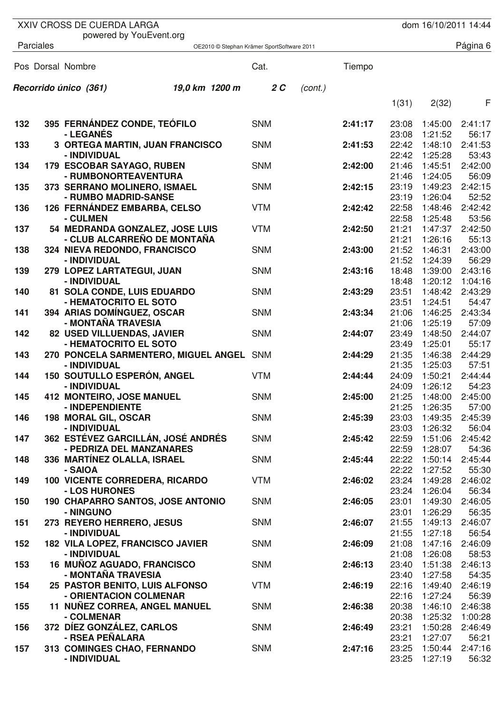|     |           | XXIV CROSS DE CUERDA LARGA                               |                |                                            |         |         |                | dom 16/10/2011 14:44 |                  |
|-----|-----------|----------------------------------------------------------|----------------|--------------------------------------------|---------|---------|----------------|----------------------|------------------|
|     |           | powered by YouEvent.org                                  |                |                                            |         |         |                |                      |                  |
|     | Parciales |                                                          |                | OE2010 © Stephan Krämer SportSoftware 2011 |         |         |                |                      | Página 6         |
|     |           | Pos Dorsal Nombre                                        |                | Cat.                                       |         | Tiempo  |                |                      |                  |
|     |           | Recorrido único (361)                                    | 19,0 km 1200 m | 2C                                         | (cont.) |         |                |                      |                  |
|     |           |                                                          |                |                                            |         |         |                |                      |                  |
|     |           |                                                          |                |                                            |         |         | 1(31)          | 2(32)                | $\mathsf{F}$     |
|     |           |                                                          |                |                                            |         |         |                |                      |                  |
| 132 |           | 395 FERNÁNDEZ CONDE, TEÓFILO                             |                | <b>SNM</b>                                 |         | 2:41:17 | 23:08          | 1:45:00              | 2:41:17          |
|     |           | - LEGANÉS                                                |                | <b>SNM</b>                                 |         |         | 23:08<br>22:42 | 1:21:52<br>1:48:10   | 56:17<br>2:41:53 |
| 133 |           | 3 ORTEGA MARTIN, JUAN FRANCISCO<br>- INDIVIDUAL          |                |                                            |         | 2:41:53 | 22:42          | 1:25:28              | 53:43            |
| 134 |           | 179 ESCOBAR SAYAGO, RUBEN                                |                | <b>SNM</b>                                 |         | 2:42:00 | 21:46          | 1:45:51              | 2:42:00          |
|     |           | - RUMBONORTEAVENTURA                                     |                |                                            |         |         | 21:46          | 1:24:05              | 56:09            |
| 135 |           | 373 SERRANO MOLINERO, ISMAEL                             |                | <b>SNM</b>                                 |         | 2:42:15 | 23:19          | 1:49:23              | 2:42:15          |
|     |           | - RUMBO MADRID-SANSE                                     |                |                                            |         |         | 23:19          | 1:26:04              | 52:52            |
| 136 |           | 126 FERNÁNDEZ EMBARBA, CELSO                             |                | <b>VTM</b>                                 |         | 2:42:42 | 22:58          | 1:48:46              | 2:42:42          |
|     |           | - CULMEN                                                 |                |                                            |         |         | 22:58          | 1:25:48              | 53:56            |
| 137 |           | 54 MEDRANDA GONZALEZ, JOSE LUIS                          |                | <b>VTM</b>                                 |         | 2:42:50 | 21:21          | 1:47:37              | 2:42:50          |
|     |           | - CLUB ALCARREÑO DE MONTAÑA                              |                |                                            |         |         | 21:21          | 1:26:16              | 55:13            |
| 138 |           | 324 NIEVA REDONDO, FRANCISCO                             |                | <b>SNM</b>                                 |         | 2:43:00 | 21:52          | 1:46:31              | 2:43:00          |
|     |           | - INDIVIDUAL                                             |                |                                            |         |         | 21:52          | 1:24:39              | 56:29            |
| 139 |           | 279 LOPEZ LARTATEGUI, JUAN                               |                | <b>SNM</b>                                 |         | 2:43:16 | 18:48          | 1:39:00              | 2:43:16          |
|     |           | - INDIVIDUAL                                             |                |                                            |         |         | 18:48          | 1:20:12              | 1:04:16          |
| 140 |           | 81 SOLA CONDE, LUIS EDUARDO                              |                | <b>SNM</b>                                 |         | 2:43:29 | 23:51          | 1:48:42              | 2:43:29          |
|     |           | - HEMATOCRITO EL SOTO                                    |                |                                            |         |         | 23:51          | 1:24:51              | 54:47            |
| 141 |           | 394 ARIAS DOMÍNGUEZ, OSCAR                               |                | <b>SNM</b>                                 |         | 2:43:34 | 21:06          | 1:46:25              | 2:43:34          |
|     |           | - MONTAÑA TRAVESIA                                       |                |                                            |         |         | 21:06          | 1:25:19              | 57:09            |
| 142 |           | 82 USED VILLUENDAS, JAVIER                               |                | <b>SNM</b>                                 |         | 2:44:07 | 23:49          | 1:48:50              | 2:44:07          |
|     |           | - HEMATOCRITO EL SOTO                                    |                |                                            |         |         | 23:49          | 1:25:01              | 55:17            |
| 143 |           | 270 PONCELA SARMENTERO, MIGUEL ANGEL SNM                 |                |                                            |         | 2:44:29 | 21:35          | 1:46:38              | 2:44:29          |
|     |           | - INDIVIDUAL                                             |                |                                            |         |         | 21:35          | 1:25:03              | 57:51            |
| 144 |           | <b>150 SOUTULLO ESPERÓN, ANGEL</b><br>- INDIVIDUAL       |                | <b>VTM</b>                                 |         | 2:44:44 | 24:09          | 1:50:21              | 2:44:44          |
| 145 |           |                                                          |                | <b>SNM</b>                                 |         | 2:45:00 | 24:09<br>21:25 | 1:26:12<br>1:48:00   | 54:23<br>2:45:00 |
|     |           | <b>412 MONTEIRO, JOSE MANUEL</b><br>- INDEPENDIENTE      |                |                                            |         |         | 21:25          | 1:26:35              | 57:00            |
| 146 |           | 198 MORAL GIL, OSCAR                                     |                | <b>SNM</b>                                 |         | 2:45:39 | 23:03          | 1:49:35              | 2:45:39          |
|     |           | - INDIVIDUAL                                             |                |                                            |         |         | 23:03          | 1:26:32              | 56:04            |
| 147 |           | 362 ESTÉVEZ GARCILLÁN, JOSÉ ANDRÉS                       |                | <b>SNM</b>                                 |         | 2:45:42 | 22:59          | 1:51:06              | 2:45:42          |
|     |           | - PEDRIZA DEL MANZANARES                                 |                |                                            |         |         | 22:59          | 1:28:07              | 54:36            |
| 148 |           | 336 MARTÍNEZ OLALLA, ISRAEL                              |                | <b>SNM</b>                                 |         | 2:45:44 | 22:22          | 1:50:14              | 2:45:44          |
|     |           | - SAIOA                                                  |                |                                            |         |         | 22:22          | 1:27:52              | 55:30            |
| 149 |           | 100 VICENTE CORREDERA, RICARDO                           |                | <b>VTM</b>                                 |         | 2:46:02 | 23:24          | 1:49:28              | 2:46:02          |
|     |           | - LOS HURONES                                            |                |                                            |         |         | 23:24          | 1:26:04              | 56:34            |
| 150 |           | 190 CHAPARRO SANTOS, JOSE ANTONIO                        |                | <b>SNM</b>                                 |         | 2:46:05 | 23:01          | 1:49:30              | 2:46:05          |
|     |           | - NINGUNO                                                |                |                                            |         |         | 23:01          | 1:26:29              | 56:35            |
| 151 |           | 273 REYERO HERRERO, JESUS                                |                | <b>SNM</b>                                 |         | 2:46:07 | 21:55          | 1:49:13              | 2:46:07          |
|     |           | - INDIVIDUAL                                             |                |                                            |         |         | 21:55          | 1:27:18              | 56:54            |
| 152 |           | <b>182 VILA LOPEZ, FRANCISCO JAVIER</b>                  |                | <b>SNM</b>                                 |         | 2:46:09 | 21:08          | 1:47:16              | 2:46:09          |
|     |           | - INDIVIDUAL                                             |                |                                            |         |         | 21:08          | 1:26:08              | 58:53            |
| 153 |           | <b>16 MUÑOZ AGUADO, FRANCISCO</b>                        |                | <b>SNM</b>                                 |         | 2:46:13 | 23:40          | 1:51:38              | 2:46:13          |
|     |           | - MONTAÑA TRAVESIA                                       |                | <b>VTM</b>                                 |         |         | 23:40          | 1:27:58              | 54:35            |
| 154 |           | 25 PASTOR BENITO, LUIS ALFONSO<br>- ORIENTACION COLMENAR |                |                                            |         | 2:46:19 | 22:16<br>22:16 | 1:49:40<br>1:27:24   | 2:46:19<br>56:39 |
| 155 |           | 11 NUÑEZ CORREA, ANGEL MANUEL                            |                | <b>SNM</b>                                 |         | 2:46:38 | 20:38          | 1:46:10              | 2:46:38          |
|     |           | - COLMENAR                                               |                |                                            |         |         | 20:38          | 1:25:32              | 1:00:28          |
| 156 |           | 372 DÍEZ GONZÁLEZ, CARLOS                                |                | <b>SNM</b>                                 |         | 2:46:49 | 23:21          | 1:50:28              | 2:46:49          |
|     |           | - RSEA PEÑALARA                                          |                |                                            |         |         | 23:21          | 1:27:07              | 56:21            |
| 157 |           | 313 COMINGES CHAO, FERNANDO                              |                | <b>SNM</b>                                 |         | 2:47:16 | 23:25          | 1:50:44              | 2:47:16          |
|     |           | - INDIVIDUAL                                             |                |                                            |         |         | 23:25          | 1:27:19              | 56:32            |
|     |           |                                                          |                |                                            |         |         |                |                      |                  |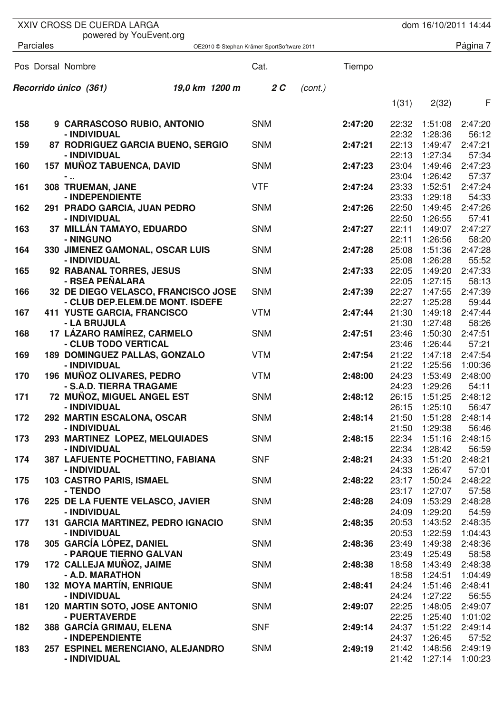|     |           | XXIV CROSS DE CUERDA LARGA                           |                                            |            |         |         |                | dom 16/10/2011 14:44 |                    |
|-----|-----------|------------------------------------------------------|--------------------------------------------|------------|---------|---------|----------------|----------------------|--------------------|
|     | Parciales | powered by YouEvent.org                              |                                            |            |         |         |                |                      |                    |
|     |           |                                                      | OE2010 © Stephan Krämer SportSoftware 2011 |            |         |         |                |                      | Página 7           |
|     |           | Pos Dorsal Nombre                                    |                                            | Cat.       |         | Tiempo  |                |                      |                    |
|     |           | Recorrido único (361)                                | 19,0 km 1200 m                             | 2C         | (cont.) |         |                |                      |                    |
|     |           |                                                      |                                            |            |         |         | 1(31)          | 2(32)                | $\mathsf{F}$       |
| 158 |           | 9 CARRASCOSO RUBIO, ANTONIO                          |                                            | <b>SNM</b> |         | 2:47:20 | 22:32          | 1:51:08              | 2:47:20            |
|     |           | - INDIVIDUAL                                         |                                            |            |         |         | 22:32          | 1:28:36              | 56:12              |
| 159 |           | 87 RODRIGUEZ GARCIA BUENO, SERGIO<br>- INDIVIDUAL    |                                            | <b>SNM</b> |         | 2:47:21 | 22:13<br>22:13 | 1:49:47<br>1:27:34   | 2:47:21<br>57:34   |
| 160 |           | 157 MUÑOZ TABUENCA, DAVID                            |                                            | <b>SNM</b> |         | 2:47:23 | 23:04          | 1:49:46              | 2:47:23            |
| 161 |           | 308 TRUEMAN, JANE                                    |                                            | <b>VTF</b> |         | 2:47:24 | 23:04<br>23:33 | 1:26:42<br>1:52:51   | 57:37<br>2:47:24   |
|     |           | - INDEPENDIENTE                                      |                                            |            |         |         | 23:33          | 1:29:18              | 54:33              |
| 162 |           | 291 PRADO GARCIA, JUAN PEDRO<br>- INDIVIDUAL         |                                            | <b>SNM</b> |         | 2:47:26 | 22:50<br>22:50 | 1:49:45<br>1:26:55   | 2:47:26<br>57:41   |
| 163 |           | 37 MILLÁN TAMAYO, EDUARDO                            |                                            | <b>SNM</b> |         | 2:47:27 | 22:11          | 1:49:07              | 2:47:27            |
| 164 |           | - NINGUNO<br>330 JIMENEZ GAMONAL, OSCAR LUIS         |                                            | <b>SNM</b> |         | 2:47:28 | 22:11<br>25:08 | 1:26:56<br>1:51:36   | 58:20<br>2:47:28   |
|     |           | - INDIVIDUAL                                         |                                            |            |         |         | 25:08          | 1:26:28              | 55:52              |
| 165 |           | 92 RABANAL TORRES, JESUS<br>- RSEA PEÑALARA          |                                            | <b>SNM</b> |         | 2:47:33 | 22:05<br>22:05 | 1:49:20<br>1:27:15   | 2:47:33<br>58:13   |
| 166 |           | 32 DE DIEGO VELASCO, FRANCISCO JOSE                  |                                            | <b>SNM</b> |         | 2:47:39 | 22:27          | 1:47:55              | 2:47:39            |
|     |           | - CLUB DEP.ELEM.DE MONT. ISDEFE                      |                                            |            |         |         | 22:27          | 1:25:28              | 59:44              |
| 167 |           | <b>411 YUSTE GARCIA, FRANCISCO</b>                   |                                            | <b>VTM</b> |         | 2:47:44 | 21:30          | 1:49:18              | 2:47:44            |
| 168 |           | - LA BRUJULA<br>17 LÁZARO RAMÍREZ, CARMELO           |                                            | <b>SNM</b> |         | 2:47:51 | 21:30<br>23:46 | 1:27:48<br>1:50:30   | 58:26<br>2:47:51   |
|     |           | - CLUB TODO VERTICAL                                 |                                            |            |         |         | 23:46          | 1:26:44              | 57:21              |
| 169 |           | 189 DOMINGUEZ PALLAS, GONZALO                        |                                            | <b>VTM</b> |         | 2:47:54 | 21:22          | 1:47:18              | 2:47:54            |
|     |           | - INDIVIDUAL                                         |                                            |            |         |         | 21:22          | 1:25:56              | 1:00:36            |
| 170 |           | 196 MUÑOZ OLIVARES, PEDRO<br>- S.A.D. TIERRA TRAGAME |                                            | <b>VTM</b> |         | 2:48:00 | 24:23<br>24:23 | 1:53:49<br>1:29:26   | 2:48:00<br>54:11   |
| 171 |           | 72 MUÑOZ, MIGUEL ANGEL EST                           |                                            | <b>SNM</b> |         | 2:48:12 | 26:15          | 1:51:25 2:48:12      |                    |
|     |           | - INDIVIDUAL                                         |                                            |            |         |         | 26:15          | 1:25:10              | 56:47              |
| 172 |           | 292 MARTIN ESCALONA, OSCAR                           |                                            | <b>SNM</b> |         | 2:48:14 | 21:50          | 1:51:28              | 2:48:14            |
| 173 |           | - INDIVIDUAL<br>293 MARTINEZ LOPEZ, MELQUIADES       |                                            | <b>SNM</b> |         | 2:48:15 | 21:50<br>22:34 | 1:29:38<br>1:51:16   | 56:46<br>2:48:15   |
|     |           | - INDIVIDUAL                                         |                                            |            |         |         | 22:34          | 1:28:42              | 56:59              |
| 174 |           | 387 LAFUENTE POCHETTINO, FABIANA<br>- INDIVIDUAL     |                                            | <b>SNF</b> |         | 2:48:21 | 24:33<br>24:33 | 1:51:20<br>1:26:47   | 2:48:21<br>57:01   |
| 175 |           | 103 CASTRO PARIS, ISMAEL                             |                                            | <b>SNM</b> |         | 2:48:22 | 23:17          | 1:50:24              | 2:48:22            |
|     |           | - TENDO                                              |                                            |            |         |         | 23:17          | 1:27:07              | 57:58              |
| 176 |           | 225 DE LA FUENTE VELASCO, JAVIER                     |                                            | <b>SNM</b> |         | 2:48:28 | 24:09          | 1:53:29              | 2:48:28            |
|     |           | - INDIVIDUAL                                         |                                            |            |         |         | 24:09          | 1:29:20              | 54:59              |
| 177 |           | 131 GARCIA MARTINEZ, PEDRO IGNACIO<br>- INDIVIDUAL   |                                            | <b>SNM</b> |         | 2:48:35 | 20:53<br>20:53 | 1:43:52<br>1:22:59   | 2:48:35<br>1:04:43 |
| 178 |           | 305 GARCÍA LÓPEZ, DANIEL                             |                                            | <b>SNM</b> |         | 2:48:36 | 23:49          | 1:49:38              | 2:48:36            |
|     |           | - PARQUE TIERNO GALVAN                               |                                            |            |         |         | 23:49          | 1:25:49              | 58:58              |
| 179 |           | 172 CALLEJA MUÑOZ, JAIME<br>- A.D. MARATHON          |                                            | <b>SNM</b> |         | 2:48:38 | 18:58<br>18:58 | 1:43:49<br>1:24:51   | 2:48:38<br>1:04:49 |
| 180 |           | <b>132 MOYA MARTÍN, ENRIQUE</b>                      |                                            | <b>SNM</b> |         | 2:48:41 | 24:24          | 1:51:46              | 2:48:41            |
|     |           | - INDIVIDUAL                                         |                                            |            |         |         | 24:24          | 1:27:22              | 56:55              |
| 181 |           | 120 MARTIN SOTO, JOSE ANTONIO                        |                                            | <b>SNM</b> |         | 2:49:07 | 22:25          | 1:48:05              | 2:49:07            |
|     |           | - PUERTAVERDE                                        |                                            |            |         |         | 22:25          | 1:25:40              | 1:01:02            |
| 182 |           | 388 GARCÍA GRIMAU, ELENA<br>- INDEPENDIENTE          |                                            | <b>SNF</b> |         | 2:49:14 | 24:37<br>24:37 | 1:51:22<br>1:26:45   | 2:49:14<br>57:52   |
| 183 |           | 257 ESPINEL MERENCIANO, ALEJANDRO                    |                                            | <b>SNM</b> |         | 2:49:19 | 21:42          | 1:48:56              | 2:49:19            |
|     |           | - INDIVIDUAL                                         |                                            |            |         |         | 21:42          | 1:27:14              | 1:00:23            |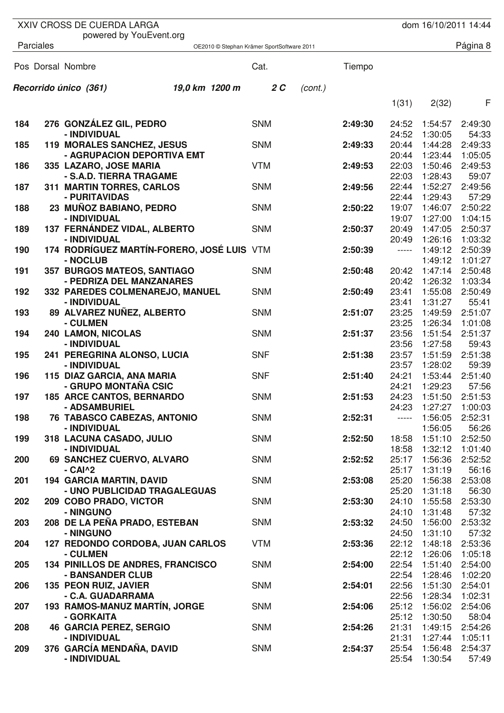|     |           | XXIV CROSS DE CUERDA LARGA                                                              |                |                                            |         |         |                         | dom 16/10/2011 14:44          |                             |
|-----|-----------|-----------------------------------------------------------------------------------------|----------------|--------------------------------------------|---------|---------|-------------------------|-------------------------------|-----------------------------|
|     |           | powered by YouEvent.org                                                                 |                |                                            |         |         |                         |                               |                             |
|     | Parciales |                                                                                         |                | OE2010 © Stephan Krämer SportSoftware 2011 |         |         |                         |                               | Página 8                    |
|     |           | Pos Dorsal Nombre                                                                       |                | Cat.                                       |         | Tiempo  |                         |                               |                             |
|     |           | Recorrido único (361)                                                                   | 19,0 km 1200 m | 2C                                         | (cont.) |         |                         |                               |                             |
|     |           |                                                                                         |                |                                            |         |         | 1(31)                   | 2(32)                         | F                           |
| 184 |           | 276 GONZÁLEZ GIL, PEDRO<br>- INDIVIDUAL                                                 |                | <b>SNM</b>                                 |         | 2:49:30 | 24:52<br>24:52          | 1:54:57<br>1:30:05            | 2:49:30<br>54:33            |
| 185 |           | <b>119 MORALES SANCHEZ, JESUS</b><br>- AGRUPACION DEPORTIVA EMT                         |                | <b>SNM</b>                                 |         | 2:49:33 | 20:44<br>20:44          | 1:44:28<br>1:23:44            | 2:49:33<br>1:05:05          |
| 186 |           | 335 LAZARO, JOSE MARIA<br>- S.A.D. TIERRA TRAGAME                                       |                | <b>VTM</b>                                 |         | 2:49:53 | 22:03<br>22:03          | 1:50:46<br>1:28:43            | 2:49:53<br>59:07            |
| 187 |           | 311 MARTIN TORRES, CARLOS<br>- PURITAVIDAS                                              |                | <b>SNM</b>                                 |         | 2:49:56 | 22:44<br>22:44          | 1:52:27<br>1:29:43            | 2:49:56<br>57:29            |
| 188 |           | 23 MUÑOZ BABIANO, PEDRO<br>- INDIVIDUAL                                                 |                | <b>SNM</b>                                 |         | 2:50:22 | 19:07<br>19:07          | 1:46:07<br>1:27:00            | 2:50:22<br>1:04:15          |
| 189 |           | 137 FERNÁNDEZ VIDAL, ALBERTO<br>- INDIVIDUAL                                            |                | <b>SNM</b>                                 |         | 2:50:37 | 20:49<br>20:49          | 1:47:05<br>1:26:16            | 2:50:37<br>1:03:32          |
| 190 |           | 174 RODRÍGUEZ MARTÍN-FORERO, JOSÉ LUIS VTM<br>- NOCLUB                                  |                |                                            |         | 2:50:39 | -----                   | 1:49:12<br>1:49:12            | 2:50:39<br>1:01:27          |
| 191 |           | 357 BURGOS MATEOS, SANTIAGO<br>- PEDRIZA DEL MANZANARES                                 |                | <b>SNM</b>                                 |         | 2:50:48 | 20:42<br>20:42          | 1:47:14<br>1:26:32            | 2:50:48<br>1:03:34          |
| 192 |           | 332 PAREDES COLMENAREJO, MANUEL<br>- INDIVIDUAL                                         |                | <b>SNM</b>                                 |         | 2:50:49 | 23:41<br>23:41          | 1:55:08<br>1:31:27            | 2:50:49<br>55:41            |
| 193 |           | 89 ALVAREZ NUÑEZ, ALBERTO<br>- CULMEN                                                   |                | <b>SNM</b>                                 |         | 2:51:07 | 23:25<br>23:25          | 1:49:59<br>1:26:34            | 2:51:07<br>1:01:08          |
| 194 |           | 240 LAMON, NICOLAS<br>- INDIVIDUAL                                                      |                | <b>SNM</b>                                 |         | 2:51:37 | 23:56<br>23:56          | 1:51:54<br>1:27:58            | 2:51:37<br>59:43            |
| 195 |           | 241 PEREGRINA ALONSO, LUCIA<br>- INDIVIDUAL                                             |                | <b>SNF</b>                                 |         | 2:51:38 | 23:57<br>23:57          | 1:51:59<br>1:28:02            | 2:51:38<br>59:39            |
| 196 |           | 115 DIAZ GARCIA, ANA MARIA<br>- GRUPO MONTAÑA CSIC                                      |                | <b>SNF</b>                                 |         | 2:51:40 | 24:21<br>24:21          | 1:53:44<br>1:29:23            | 2:51:40<br>57:56            |
| 197 |           | <b>185 ARCE CANTOS, BERNARDO</b><br>- ADSAMBURIEL                                       |                | <b>SNM</b>                                 |         | 2:51:53 | 24:23<br>24:23          | 1:51:50<br>1:27:27            | 2:51:53<br>1:00:03          |
| 198 |           | <b>76 TABASCO CABEZAS, ANTONIO</b><br>- INDIVIDUAL                                      |                | <b>SNM</b>                                 |         | 2:52:31 | $-----1$                | 1:56:05                       | 2:52:31<br>56:26            |
| 199 |           | 318 LACUNA CASADO, JULIO                                                                |                | <b>SNM</b>                                 |         | 2:52:50 | 18:58                   | 1:56:05<br>1:51:10            | 2:52:50                     |
| 200 |           | - INDIVIDUAL<br>69 SANCHEZ CUERVO, ALVARO                                               |                | <b>SNM</b>                                 |         | 2:52:52 | 18:58<br>25:17          | 1:32:12<br>1:56:36            | 1:01:40<br>2:52:52          |
| 201 |           | $-$ CAI $^{\wedge}2$<br><b>194 GARCIA MARTIN, DAVID</b><br>- UNO PUBLICIDAD TRAGALEGUAS |                | <b>SNM</b>                                 |         | 2:53:08 | 25:17<br>25:20          | 1:31:19<br>1:56:38            | 56:16<br>2:53:08            |
| 202 |           | 209 COBO PRADO, VICTOR                                                                  |                | <b>SNM</b>                                 |         | 2:53:30 | 25:20<br>24:10          | 1:31:18<br>1:55:58            | 56:30<br>2:53:30            |
| 203 |           | - NINGUNO<br>208 DE LA PEÑA PRADO, ESTEBAN                                              |                | <b>SNM</b>                                 |         | 2:53:32 | 24:10<br>24:50          | 1:31:48<br>1:56:00            | 57:32<br>2:53:32            |
| 204 |           | - NINGUNO<br>127 REDONDO CORDOBA, JUAN CARLOS<br>- CULMEN                               |                | <b>VTM</b>                                 |         | 2:53:36 | 24:50<br>22:12<br>22:12 | 1:31:10<br>1:48:18<br>1:26:06 | 57:32<br>2:53:36<br>1:05:18 |
| 205 |           | 134 PINILLOS DE ANDRES, FRANCISCO<br>- BANSANDER CLUB                                   |                | <b>SNM</b>                                 |         | 2:54:00 | 22:54<br>22:54          | 1:51:40<br>1:28:46            | 2:54:00<br>1:02:20          |
| 206 |           | 135 PEON RUIZ, JAVIER<br>- C.A. GUADARRAMA                                              |                | <b>SNM</b>                                 |         | 2:54:01 | 22:56<br>22:56          | 1:51:30<br>1:28:34            | 2:54:01<br>1:02:31          |
| 207 |           | 193 RAMOS-MANUZ MARTÍN, JORGE<br>- GORKAITA                                             |                | <b>SNM</b>                                 |         | 2:54:06 | 25:12<br>25:12          | 1:56:02<br>1:30:50            | 2:54:06<br>58:04            |
| 208 |           | <b>46 GARCIA PEREZ, SERGIO</b><br>- INDIVIDUAL                                          |                | <b>SNM</b>                                 |         | 2:54:26 | 21:31<br>21:31          | 1:49:15<br>1:27:44            | 2:54:26<br>1:05:11          |
| 209 |           | 376 GARCÍA MENDAÑA, DAVID<br>- INDIVIDUAL                                               |                | <b>SNM</b>                                 |         | 2:54:37 | 25:54<br>25:54          | 1:56:48<br>1:30:54            | 2:54:37<br>57:49            |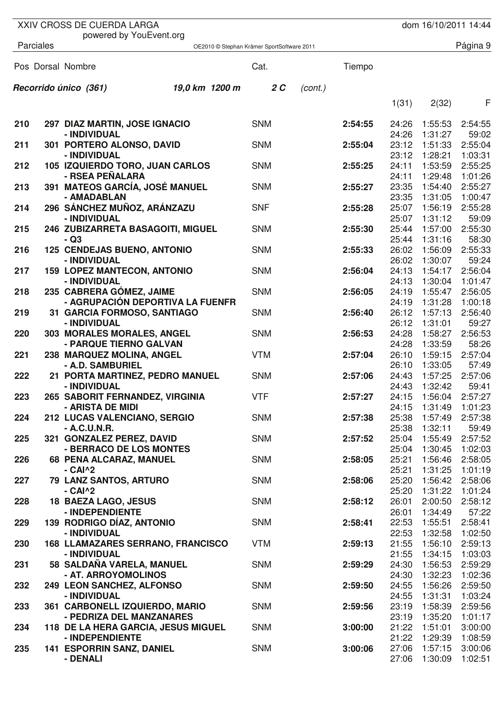|           | XXIV CROSS DE CUERDA LARGA                                   |                |                                            |         |         |                | dom 16/10/2011 14:44 |                    |
|-----------|--------------------------------------------------------------|----------------|--------------------------------------------|---------|---------|----------------|----------------------|--------------------|
|           | powered by YouEvent.org                                      |                |                                            |         |         |                |                      |                    |
| Parciales |                                                              |                | OE2010 © Stephan Krämer SportSoftware 2011 |         |         |                |                      | Página 9           |
|           | Pos Dorsal Nombre                                            |                | Cat.                                       |         | Tiempo  |                |                      |                    |
|           | Recorrido único (361)                                        | 19,0 km 1200 m | 2C                                         | (cont.) |         |                |                      |                    |
|           |                                                              |                |                                            |         |         | 1(31)          | 2(32)                | F                  |
| 210       | 297 DIAZ MARTIN, JOSE IGNACIO                                |                | <b>SNM</b>                                 |         | 2:54:55 | 24:26          | 1:55:53              | 2:54:55            |
|           | - INDIVIDUAL                                                 |                |                                            |         |         | 24:26          | 1:31:27              | 59:02              |
| 211       | 301 PORTERO ALONSO, DAVID<br>- INDIVIDUAL                    |                | <b>SNM</b>                                 |         | 2:55:04 | 23:12<br>23:12 | 1:51:33<br>1:28:21   | 2:55:04<br>1:03:31 |
| 212       | 105 IZQUIERDO TORO, JUAN CARLOS<br>- RSEA PEÑALARA           |                | <b>SNM</b>                                 |         | 2:55:25 | 24:11          | 1:53:59              | 2:55:25            |
| 213       | 391 MATEOS GARCÍA, JOSÉ MANUEL                               |                | <b>SNM</b>                                 |         | 2:55:27 | 24:11<br>23:35 | 1:29:48<br>1:54:40   | 1:01:26<br>2:55:27 |
| 214       | - AMADABLAN<br>296 SÁNCHEZ MUÑOZ, ARÁNZAZU                   |                | <b>SNF</b>                                 |         | 2:55:28 | 23:35<br>25:07 | 1:31:05<br>1:56:19   | 1:00:47<br>2:55:28 |
|           | - INDIVIDUAL                                                 |                |                                            |         |         | 25:07          | 1:31:12              | 59:09              |
| 215       | 246 ZUBIZARRETA BASAGOITI, MIGUEL<br>- Q3                    |                | <b>SNM</b>                                 |         | 2:55:30 | 25:44<br>25:44 | 1:57:00<br>1:31:16   | 2:55:30<br>58:30   |
| 216       | 125 CENDEJAS BUENO, ANTONIO                                  |                | <b>SNM</b>                                 |         | 2:55:33 | 26:02          | 1:56:09              | 2:55:33            |
| 217       | - INDIVIDUAL<br><b>159 LOPEZ MANTECON, ANTONIO</b>           |                | <b>SNM</b>                                 |         | 2:56:04 | 26:02<br>24:13 | 1:30:07<br>1:54:17   | 59:24<br>2:56:04   |
|           | - INDIVIDUAL                                                 |                |                                            |         |         | 24:13          | 1:30:04              | 1:01:47            |
| 218       | 235 CABRERA GÓMEZ, JAIME<br>- AGRUPACIÓN DEPORTIVA LA FUENFR |                | <b>SNM</b>                                 |         | 2:56:05 | 24:19<br>24:19 | 1:55:47<br>1:31:28   | 2:56:05<br>1:00:18 |
| 219       | 31 GARCIA FORMOSO, SANTIAGO                                  |                | <b>SNM</b>                                 |         | 2:56:40 | 26:12          | 1:57:13              | 2:56:40            |
| 220       | - INDIVIDUAL<br>303 MORALES MORALES, ANGEL                   |                | <b>SNM</b>                                 |         | 2:56:53 | 26:12<br>24:28 | 1:31:01<br>1:58:27   | 59:27<br>2:56:53   |
|           | - PARQUE TIERNO GALVAN                                       |                |                                            |         |         | 24:28          | 1:33:59              | 58:26              |
| 221       | 238 MARQUEZ MOLINA, ANGEL<br>- A.D. SAMBURIEL                |                | <b>VTM</b>                                 |         | 2:57:04 | 26:10<br>26:10 | 1:59:15<br>1:33:05   | 2:57:04<br>57:49   |
| 222       | 21 PORTA MARTINEZ, PEDRO MANUEL                              |                | <b>SNM</b>                                 |         | 2:57:06 | 24:43          | 1:57:25              | 2:57:06            |
| 223       | - INDIVIDUAL<br>265 SABORIT FERNANDEZ, VIRGINIA              |                | <b>VTF</b>                                 |         | 2:57:27 | 24:43<br>24:15 | 1:32:42<br>1:56:04   | 59:41<br>2:57:27   |
|           | - ARISTA DE MIDI                                             |                |                                            |         |         | 24:15          | 1:31:49              | 1:01:23            |
| 224       | 212 LUCAS VALENCIANO, SERGIO<br>- A.C.U.N.R.                 |                | <b>SNM</b>                                 |         | 2:57:38 | 25:38<br>25:38 | 1:57:49<br>1:32:11   | 2:57:38<br>59:49   |
| 225       | 321 GONZALEZ PEREZ, DAVID                                    |                | <b>SNM</b>                                 |         | 2:57:52 | 25:04          | 1:55:49              | 2:57:52            |
| 226       | - BERRACO DE LOS MONTES<br>68 PENA ALCARAZ, MANUEL           |                | <b>SNM</b>                                 |         | 2:58:05 | 25:04<br>25:21 | 1:30:45<br>1:56:46   | 1:02:03<br>2:58:05 |
| 227       | $-$ CAI $^{\wedge}2$<br>79 LANZ SANTOS, ARTURO               |                | <b>SNM</b>                                 |         | 2:58:06 | 25:21<br>25:20 | 1:31:25<br>1:56:42   | 1:01:19<br>2:58:06 |
|           | $-$ CAI $^{\wedge}2$                                         |                |                                            |         |         | 25:20          | 1:31:22              | 1:01:24            |
| 228       | <b>18 BAEZA LAGO, JESUS</b><br>- INDEPENDIENTE               |                | <b>SNM</b>                                 |         | 2:58:12 | 26:01<br>26:01 | 2:00:50<br>1:34:49   | 2:58:12<br>57:22   |
| 229       | 139 RODRIGO DÍAZ, ANTONIO                                    |                | <b>SNM</b>                                 |         | 2:58:41 | 22:53          | 1:55:51              | 2:58:41            |
| 230       | - INDIVIDUAL<br>168 LLAMAZARES SERRANO, FRANCISCO            |                | <b>VTM</b>                                 |         | 2:59:13 | 22:53<br>21:55 | 1:32:58<br>1:56:10   | 1:02:50<br>2:59:13 |
|           | - INDIVIDUAL                                                 |                |                                            |         |         | 21:55          | 1:34:15              | 1:03:03            |
| 231       | 58 SALDAÑA VARELA, MANUEL<br>- AT. ARROYOMOLINOS             |                | <b>SNM</b>                                 |         | 2:59:29 | 24:30<br>24:30 | 1:56:53<br>1:32:23   | 2:59:29<br>1:02:36 |
| 232       | 249 LEON SANCHEZ, ALFONSO                                    |                | <b>SNM</b>                                 |         | 2:59:50 | 24:55          | 1:56:26              | 2:59:50            |
| 233       | - INDIVIDUAL<br>361 CARBONELL IZQUIERDO, MARIO               |                | <b>SNM</b>                                 |         | 2:59:56 | 24:55<br>23:19 | 1:31:31<br>1:58:39   | 1:03:24<br>2:59:56 |
|           | - PEDRIZA DEL MANZANARES                                     |                |                                            |         |         | 23:19          | 1:35:20              | 1:01:17            |
| 234       | 118 DE LA HERA GARCIA, JESUS MIGUEL<br>- INDEPENDIENTE       |                | <b>SNM</b>                                 |         | 3:00:00 | 21:22<br>21:22 | 1:51:01<br>1:29:39   | 3:00:00<br>1:08:59 |
| 235       | 141 ESPORRIN SANZ, DANIEL<br>- DENALI                        |                | <b>SNM</b>                                 |         | 3:00:06 | 27:06<br>27:06 | 1:57:15<br>1:30:09   | 3:00:06<br>1:02:51 |
|           |                                                              |                |                                            |         |         |                |                      |                    |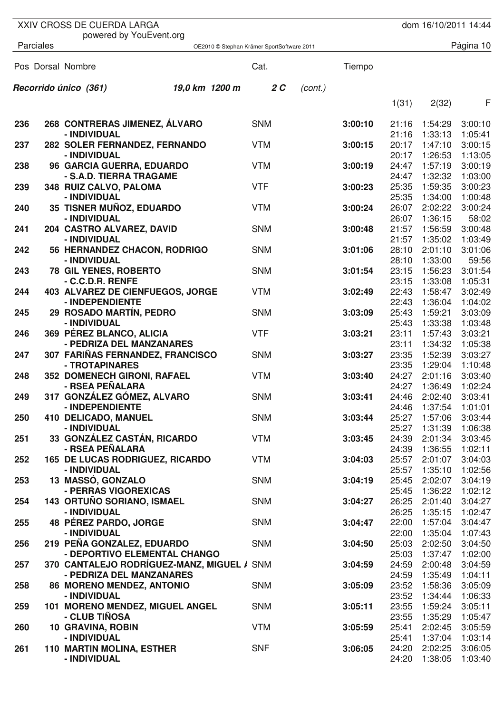|     |           | XXIV CROSS DE CUERDA LARGA                                            |            |         |         |                | dom 16/10/2011 14:44 |                    |
|-----|-----------|-----------------------------------------------------------------------|------------|---------|---------|----------------|----------------------|--------------------|
|     | Parciales | powered by YouEvent.org<br>OE2010 © Stephan Krämer SportSoftware 2011 |            |         |         |                |                      | Página 10          |
|     |           |                                                                       |            |         |         |                |                      |                    |
|     |           | Pos Dorsal Nombre                                                     | Cat.       |         | Tiempo  |                |                      |                    |
|     |           | Recorrido único (361)<br>19,0 km 1200 m                               | 2C         | (cont.) |         |                |                      |                    |
|     |           |                                                                       |            |         |         | 1(31)          | 2(32)                | F                  |
| 236 |           | 268 CONTRERAS JIMENEZ, ÁLVARO                                         | <b>SNM</b> |         | 3:00:10 | 21:16          | 1:54:29              | 3:00:10            |
|     |           | - INDIVIDUAL                                                          |            |         |         | 21:16          | 1:33:13              | 1:05:41            |
| 237 |           | 282 SOLER FERNANDEZ, FERNANDO<br>- INDIVIDUAL                         | <b>VTM</b> |         | 3:00:15 | 20:17<br>20:17 | 1:47:10<br>1:26:53   | 3:00:15<br>1:13:05 |
| 238 |           | 96 GARCIA GUERRA, EDUARDO                                             | <b>VTM</b> |         | 3:00:19 | 24:47          | 1:57:19              | 3:00:19            |
|     |           | - S.A.D. TIERRA TRAGAME                                               |            |         |         | 24:47          | 1:32:32              | 1:03:00            |
| 239 |           | 348 RUIZ CALVO, PALOMA                                                | <b>VTF</b> |         | 3:00:23 | 25:35          | 1:59:35              | 3:00:23            |
| 240 |           | - INDIVIDUAL<br>35 TISNER MUÑOZ, EDUARDO                              | <b>VTM</b> |         | 3:00:24 | 25:35<br>26:07 | 1:34:00<br>2:02:22   | 1:00:48<br>3:00:24 |
|     |           | - INDIVIDUAL                                                          |            |         |         | 26:07          | 1:36:15              | 58:02              |
| 241 |           | 204 CASTRO ALVAREZ, DAVID                                             | <b>SNM</b> |         | 3:00:48 | 21:57          | 1:56:59              | 3:00:48            |
|     |           | - INDIVIDUAL                                                          |            |         |         | 21:57          | 1:35:02              | 1:03:49            |
| 242 |           | 56 HERNANDEZ CHACON, RODRIGO                                          | <b>SNM</b> |         | 3:01:06 | 28:10          | 2:01:10              | 3:01:06            |
|     |           | - INDIVIDUAL                                                          |            |         |         | 28:10          | 1:33:00              | 59:56              |
| 243 |           | 78 GIL YENES, ROBERTO<br>- C.C.D.R. RENFE                             | <b>SNM</b> |         | 3:01:54 | 23:15<br>23:15 | 1:56:23<br>1:33:08   | 3:01:54<br>1:05:31 |
| 244 |           | 403 ALVAREZ DE CIENFUEGOS, JORGE                                      | <b>VTM</b> |         | 3:02:49 | 22:43          | 1:58:47              | 3:02:49            |
|     |           | - INDEPENDIENTE                                                       |            |         |         | 22:43          | 1:36:04              | 1:04:02            |
| 245 |           | 29 ROSADO MARTÍN, PEDRO                                               | <b>SNM</b> |         | 3:03:09 | 25:43          | 1:59:21              | 3:03:09            |
|     |           | - INDIVIDUAL                                                          |            |         |         | 25:43          | 1:33:38              | 1:03:48            |
| 246 |           | 369 PÉREZ BLANCO, ALICIA<br>- PEDRIZA DEL MANZANARES                  | <b>VTF</b> |         | 3:03:21 | 23:11<br>23:11 | 1:57:43<br>1:34:32   | 3:03:21<br>1:05:38 |
| 247 |           | 307 FARIÑAS FERNANDEZ, FRANCISCO                                      | <b>SNM</b> |         | 3:03:27 | 23:35          | 1:52:39              | 3:03:27            |
|     |           | - TROTAPINARES                                                        |            |         |         | 23:35          | 1:29:04              | 1:10:48            |
| 248 |           | 352 DOMENECH GIRONI, RAFAEL                                           | <b>VTM</b> |         | 3:03:40 | 24:27          | 2:01:16              | 3:03:40            |
|     |           | - RSEA PEÑALARA                                                       |            |         |         | 24:27          | 1:36:49              | 1:02:24            |
| 249 |           | 317 GONZÁLEZ GÓMEZ, ALVARO<br>- INDEPENDIENTE                         | <b>SNM</b> |         | 3:03:41 | 24:46<br>24:46 | 2:02:40<br>1:37:54   | 3:03:41<br>1:01:01 |
| 250 |           | 410 DELICADO, MANUEL                                                  | <b>SNM</b> |         | 3:03:44 | 25:27          | 1:57:06              | 3:03:44            |
|     |           | - INDIVIDUAL                                                          |            |         |         | 25:27          | 1:31:39              | 1:06:38            |
| 251 |           | 33 GONZÁLEZ CASTÁN, RICARDO                                           | <b>VTM</b> |         | 3:03:45 | 24:39          | 2:01:34              | 3:03:45            |
|     |           | - RSEA PEÑALARA                                                       |            |         |         | 24:39          | 1:36:55              | 1:02:11            |
| 252 |           | <b>165 DE LUCAS RODRIGUEZ, RICARDO</b><br>- INDIVIDUAL                | <b>VTM</b> |         | 3:04:03 | 25:57<br>25:57 | 2:01:07<br>1:35:10   | 3:04:03<br>1:02:56 |
| 253 |           | 13 MASSÓ, GONZALO                                                     | <b>SNM</b> |         | 3:04:19 | 25:45          | 2:02:07              | 3:04:19            |
|     |           | - PERRAS VIGOREXICAS                                                  |            |         |         | 25:45          | 1:36:22              | 1:02:12            |
| 254 |           | 143 ORTUÑO SORIANO, ISMAEL                                            | <b>SNM</b> |         | 3:04:27 | 26:25          | 2:01:40              | 3:04:27            |
|     |           | - INDIVIDUAL                                                          |            |         |         | 26:25          | 1:35:15              | 1:02:47            |
| 255 |           | 48 PÉREZ PARDO, JORGE<br>- INDIVIDUAL                                 | SNM        |         | 3:04:47 | 22:00          | 1:57:04<br>1:35:04   | 3:04:47<br>1:07:43 |
| 256 |           | 219 PEÑA GONZALEZ, EDUARDO                                            | <b>SNM</b> |         | 3:04:50 | 22:00<br>25:03 | 2:02:50              | 3:04:50            |
|     |           | - DEPORTIVO ELEMENTAL CHANGO                                          |            |         |         | 25:03          | 1:37:47              | 1:02:00            |
| 257 |           | 370 CANTALEJO RODRÍGUEZ-MANZ, MIGUEL / SNM                            |            |         | 3:04:59 | 24:59          | 2:00:48              | 3:04:59            |
|     |           | - PEDRIZA DEL MANZANARES                                              |            |         |         | 24:59          | 1:35:49              | 1:04:11            |
| 258 |           | 86 MORENO MENDEZ, ANTONIO<br>- INDIVIDUAL                             | <b>SNM</b> |         | 3:05:09 | 23:52<br>23:52 | 1:58:36<br>1:34:44   | 3:05:09<br>1:06:33 |
| 259 |           | 101 MORENO MENDEZ, MIGUEL ANGEL                                       | <b>SNM</b> |         | 3:05:11 | 23:55          | 1:59:24              | 3:05:11            |
|     |           | - CLUB TIÑOSA                                                         |            |         |         | 23:55          | 1:35:29              | 1:05:47            |
| 260 |           | <b>10 GRAVINA, ROBIN</b>                                              | <b>VTM</b> |         | 3:05:59 | 25:41          | 2:02:45              | 3:05:59            |
|     |           | - INDIVIDUAL                                                          |            |         |         | 25:41          | 1:37:04              | 1:03:14            |
| 261 |           | 110 MARTIN MOLINA, ESTHER<br>- INDIVIDUAL                             | <b>SNF</b> |         | 3:06:05 | 24:20<br>24:20 | 2:02:25<br>1:38:05   | 3:06:05<br>1:03:40 |
|     |           |                                                                       |            |         |         |                |                      |                    |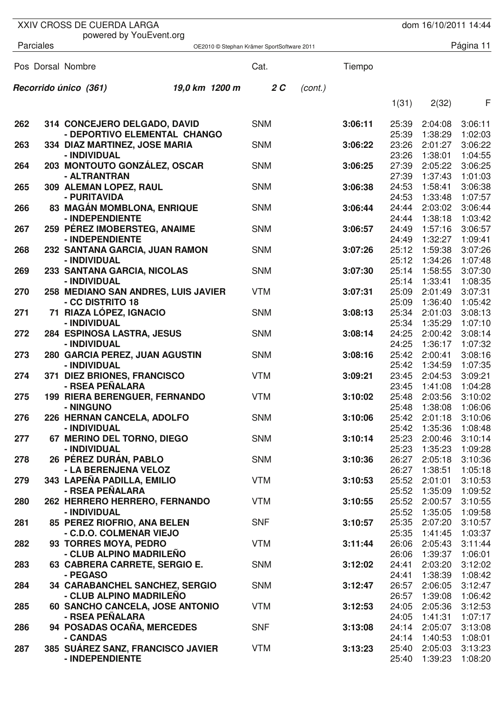|     |           | XXIV CROSS DE CUERDA LARGA                    |                |                                            |         |         |                | dom 16/10/2011 14:44 |                    |
|-----|-----------|-----------------------------------------------|----------------|--------------------------------------------|---------|---------|----------------|----------------------|--------------------|
|     |           | powered by YouEvent.org                       |                |                                            |         |         |                |                      |                    |
|     | Parciales |                                               |                | OE2010 © Stephan Krämer SportSoftware 2011 |         |         |                |                      | Página 11          |
|     |           |                                               |                |                                            |         |         |                |                      |                    |
|     |           | Pos Dorsal Nombre                             |                | Cat.                                       |         | Tiempo  |                |                      |                    |
|     |           | Recorrido único (361)                         | 19,0 km 1200 m | 2C                                         | (cont.) |         |                |                      |                    |
|     |           |                                               |                |                                            |         |         |                |                      |                    |
|     |           |                                               |                |                                            |         |         | 1(31)          | 2(32)                | F                  |
|     |           |                                               |                |                                            |         |         |                |                      |                    |
| 262 |           | 314 CONCEJERO DELGADO, DAVID                  |                | <b>SNM</b>                                 |         | 3:06:11 | 25:39          | 2:04:08              | 3:06:11            |
|     |           | - DEPORTIVO ELEMENTAL CHANGO                  |                | <b>SNM</b>                                 |         |         | 25:39<br>23:26 | 1:38:29<br>2:01:27   | 1:02:03<br>3:06:22 |
| 263 |           | 334 DIAZ MARTINEZ, JOSE MARIA<br>- INDIVIDUAL |                |                                            |         | 3:06:22 | 23:26          | 1:38:01              | 1:04:55            |
| 264 |           | 203 MONTOUTO GONZÁLEZ, OSCAR                  |                | <b>SNM</b>                                 |         | 3:06:25 | 27:39          | 2:05:22              | 3:06:25            |
|     |           | - ALTRANTRAN                                  |                |                                            |         |         | 27:39          | 1:37:43              | 1:01:03            |
| 265 |           | 309 ALEMAN LOPEZ, RAUL                        |                | <b>SNM</b>                                 |         | 3:06:38 | 24:53          | 1:58:41              | 3:06:38            |
|     |           | - PURITAVIDA                                  |                |                                            |         |         | 24:53          | 1:33:48              | 1:07:57            |
| 266 |           | 83 MAGÁN MOMBLONA, ENRIQUE                    |                | <b>SNM</b>                                 |         | 3:06:44 | 24:44          | 2:03:02              | 3:06:44            |
|     |           | - INDEPENDIENTE                               |                |                                            |         |         | 24:44          | 1:38:18              | 1:03:42            |
| 267 |           | 259 PÉREZ IMOBERSTEG, ANAIME                  |                | <b>SNM</b>                                 |         | 3:06:57 | 24:49          | 1:57:16              | 3:06:57            |
|     |           | - INDEPENDIENTE                               |                |                                            |         |         | 24:49          | 1:32:27              | 1:09:41            |
| 268 |           | 232 SANTANA GARCIA, JUAN RAMON                |                | <b>SNM</b>                                 |         | 3:07:26 | 25:12          | 1:59:38              | 3:07:26            |
|     |           | - INDIVIDUAL                                  |                |                                            |         |         | 25:12          | 1:34:26              | 1:07:48            |
| 269 |           | 233 SANTANA GARCIA, NICOLAS                   |                | <b>SNM</b>                                 |         | 3:07:30 | 25:14          | 1:58:55              | 3:07:30            |
|     |           | - INDIVIDUAL                                  |                |                                            |         |         | 25:14          | 1:33:41              | 1:08:35            |
| 270 |           | 258 MEDIANO SAN ANDRES, LUIS JAVIER           |                | <b>VTM</b>                                 |         | 3:07:31 | 25:09          | 2:01:49              | 3:07:31            |
|     |           | - CC DISTRITO 18                              |                |                                            |         |         | 25:09          | 1:36:40              | 1:05:42            |
| 271 |           | 71 RIAZA LÓPEZ, IGNACIO                       |                | <b>SNM</b>                                 |         | 3:08:13 | 25:34          | 2:01:03              | 3:08:13            |
|     |           | - INDIVIDUAL                                  |                |                                            |         |         | 25:34          | 1:35:29              | 1:07:10            |
| 272 |           | 284 ESPINOSA LASTRA, JESUS                    |                | <b>SNM</b>                                 |         | 3:08:14 | 24:25          | 2:00:42              | 3:08:14            |
|     |           | - INDIVIDUAL                                  |                |                                            |         |         | 24:25          | 1:36:17              | 1:07:32            |
| 273 |           | 280 GARCIA PEREZ, JUAN AGUSTIN                |                | <b>SNM</b>                                 |         | 3:08:16 | 25:42          | 2:00:41              | 3:08:16            |
|     |           | - INDIVIDUAL                                  |                |                                            |         |         | 25:42          | 1:34:59              | 1:07:35            |
| 274 |           | 371 DIEZ BRIONES, FRANCISCO                   |                | <b>VTM</b>                                 |         | 3:09:21 | 23:45          | 2:04:53              | 3:09:21            |
|     |           | - RSEA PEÑALARA                               |                |                                            |         |         | 23:45          | 1:41:08              | 1:04:28            |
| 275 |           | <b>199 RIERA BERENGUER, FERNANDO</b>          |                | <b>VTM</b>                                 |         | 3:10:02 | 25:48          | 2:03:56              | 3:10:02            |
|     |           | - NINGUNO                                     |                |                                            |         |         | 25:48          | 1:38:08              | 1:06:06            |
| 276 |           | 226 HERNAN CANCELA, ADOLFO                    |                | <b>SNM</b>                                 |         | 3:10:06 | 25:42          | 2:01:18              | 3:10:06            |
|     |           | - INDIVIDUAL                                  |                |                                            |         |         | 25:42          | 1:35:36              | 1:08:48            |
| 277 |           | 67 MERINO DEL TORNO, DIEGO                    |                | <b>SNM</b>                                 |         | 3:10:14 | 25:23          | 2:00:46              | 3:10:14            |
|     |           | - INDIVIDUAL                                  |                |                                            |         |         | 25:23          | 1:35:23              | 1:09:28            |
| 278 |           | 26 PÉREZ DURÁN, PABLO                         |                | <b>SNM</b>                                 |         | 3:10:36 | 26:27          | 2:05:18              | 3:10:36            |
|     |           | - LA BERENJENA VELOZ                          |                |                                            |         |         | 26:27          | 1:38:51              | 1:05:18            |
| 279 |           | 343 LAPEÑA PADILLA, EMILIO<br>- RSEA PEÑALARA |                | <b>VTM</b>                                 |         | 3:10:53 | 25:52          | 2:01:01              | 3:10:53            |
| 280 |           |                                               |                | <b>VTM</b>                                 |         |         | 25:52<br>25:52 | 1:35:09              | 1:09:52            |
|     |           | 262 HERRERO HERRERO, FERNANDO<br>- INDIVIDUAL |                |                                            |         | 3:10:55 | 25:52          | 2:00:57<br>1:35:05   | 3:10:55<br>1:09:58 |
| 281 |           | 85 PEREZ RIOFRIO, ANA BELEN                   |                | <b>SNF</b>                                 |         | 3:10:57 | 25:35          | 2:07:20              | 3:10:57            |
|     |           | - C.D.O. COLMENAR VIEJO                       |                |                                            |         |         | 25:35          | 1:41:45              | 1:03:37            |
| 282 |           | 93 TORRES MOYA, PEDRO                         |                | <b>VTM</b>                                 |         | 3:11:44 | 26:06          | 2:05:43              | 3:11:44            |
|     |           | - CLUB ALPINO MADRILEÑO                       |                |                                            |         |         | 26:06          | 1:39:37              | 1:06:01            |
| 283 |           | 63 CABRERA CARRETE, SERGIO E.                 |                | <b>SNM</b>                                 |         | 3:12:02 | 24:41          | 2:03:20              | 3:12:02            |
|     |           | - PEGASO                                      |                |                                            |         |         | 24:41          | 1:38:39              | 1:08:42            |
| 284 |           | 34 CARABANCHEL SANCHEZ, SERGIO                |                | <b>SNM</b>                                 |         | 3:12:47 | 26:57          | 2:06:05              | 3:12:47            |
|     |           | - CLUB ALPINO MADRILEÑO                       |                |                                            |         |         | 26:57          | 1:39:08              | 1:06:42            |
| 285 |           | 60 SANCHO CANCELA, JOSE ANTONIO               |                | <b>VTM</b>                                 |         | 3:12:53 | 24:05          | 2:05:36              | 3:12:53            |
|     |           | - RSEA PEÑALARA                               |                |                                            |         |         | 24:05          | 1:41:31              | 1:07:17            |
| 286 |           | 94 POSADAS OCAÑA, MERCEDES                    |                | <b>SNF</b>                                 |         | 3:13:08 | 24:14          | 2:05:07              | 3:13:08            |
|     |           | - CANDAS                                      |                |                                            |         |         | 24:14          | 1:40:53              | 1:08:01            |
| 287 |           | 385 SUÁREZ SANZ, FRANCISCO JAVIER             |                | <b>VTM</b>                                 |         | 3:13:23 | 25:40          | 2:05:03              | 3:13:23            |
|     |           | - INDEPENDIENTE                               |                |                                            |         |         | 25:40          | 1:39:23              | 1:08:20            |
|     |           |                                               |                |                                            |         |         |                |                      |                    |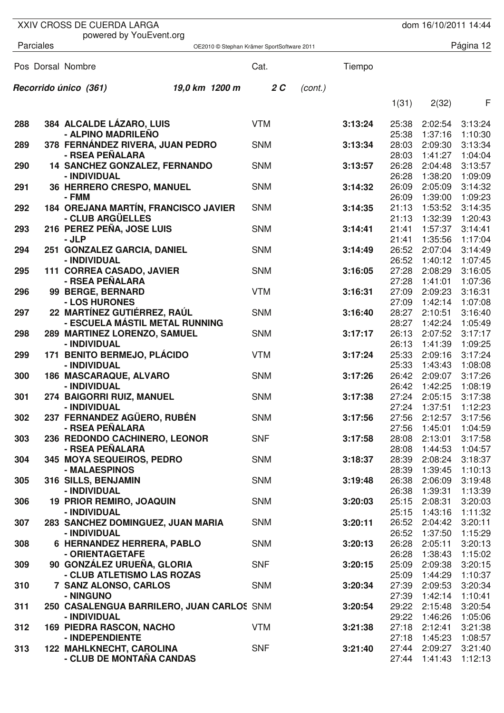|     |           | XXIV CROSS DE CUERDA LARGA                                    |            |         |         |                | dom 16/10/2011 14:44           |                    |
|-----|-----------|---------------------------------------------------------------|------------|---------|---------|----------------|--------------------------------|--------------------|
|     |           | powered by YouEvent.org                                       |            |         |         |                |                                |                    |
|     | Parciales | OE2010 © Stephan Krämer SportSoftware 2011                    |            |         |         |                |                                | Página 12          |
|     |           | Pos Dorsal Nombre                                             | Cat.       |         | Tiempo  |                |                                |                    |
|     |           | 19,0 km 1200 m<br>Recorrido único (361)                       | 2C         | (cont.) |         |                |                                |                    |
|     |           |                                                               |            |         |         | 1(31)          | 2(32)                          | F                  |
| 288 |           | 384 ALCALDE LÁZARO, LUIS<br>- ALPINO MADRILEÑO                | <b>VTM</b> |         | 3:13:24 | 25:38<br>25:38 | 2:02:54<br>1:37:16             | 3:13:24<br>1:10:30 |
| 289 |           | 378 FERNÁNDEZ RIVERA, JUAN PEDRO<br>- RSEA PEÑALARA           | <b>SNM</b> |         | 3:13:34 | 28:03<br>28:03 | 2:09:30<br>1:41:27             | 3:13:34<br>1:04:04 |
| 290 |           | <b>14 SANCHEZ GONZALEZ, FERNANDO</b><br>- INDIVIDUAL          | <b>SNM</b> |         | 3:13:57 | 26:28<br>26:28 | 2:04:48<br>1:38:20             | 3:13:57<br>1:09:09 |
| 291 |           | 36 HERRERO CRESPO, MANUEL<br>- FMM                            | <b>SNM</b> |         | 3:14:32 | 26:09<br>26:09 | 2:05:09<br>1:39:00             | 3:14:32<br>1:09:23 |
| 292 |           | 184 OREJANA MARTÍN, FRANCISCO JAVIER<br>- CLUB ARGÜELLES      | <b>SNM</b> |         | 3:14:35 | 21:13<br>21:13 | 1:53:52<br>1:32:39             | 3:14:35<br>1:20:43 |
| 293 |           | 216 PEREZ PEÑA, JOSE LUIS<br>- JLP                            | <b>SNM</b> |         | 3:14:41 | 21:41<br>21:41 | 1:57:37<br>1:35:56             | 3:14:41<br>1:17:04 |
| 294 |           | 251 GONZALEZ GARCIA, DANIEL<br>- INDIVIDUAL                   | <b>SNM</b> |         | 3:14:49 | 26:52<br>26:52 | 2:07:04<br>1:40:12             | 3:14:49<br>1:07:45 |
| 295 |           | 111 CORREA CASADO, JAVIER<br>- RSEA PEÑALARA                  | <b>SNM</b> |         | 3:16:05 | 27:28<br>27:28 | 2:08:29<br>1:41:01             | 3:16:05<br>1:07:36 |
| 296 |           | 99 BERGE, BERNARD<br>- LOS HURONES                            | <b>VTM</b> |         | 3:16:31 | 27:09<br>27:09 | 2:09:23<br>1:42:14             | 3:16:31<br>1:07:08 |
| 297 |           | 22 MARTÍNEZ GUTIÉRREZ, RAÚL<br>- ESCUELA MÁSTIL METAL RUNNING | <b>SNM</b> |         | 3:16:40 | 28:27<br>28:27 | 2:10:51<br>1:42:24             | 3:16:40<br>1:05:49 |
| 298 |           | 289 MARTINEZ LORENZO, SAMUEL<br>- INDIVIDUAL                  | <b>SNM</b> |         | 3:17:17 | 26:13<br>26:13 | 2:07:52<br>1:41:39             | 3:17:17<br>1:09:25 |
| 299 |           | 171 BENITO BERMEJO, PLÁCIDO<br>- INDIVIDUAL                   | <b>VTM</b> |         | 3:17:24 | 25:33<br>25:33 | 2:09:16<br>1:43:43             | 3:17:24<br>1:08:08 |
| 300 |           | <b>186 MASCARAQUE, ALVARO</b><br>- INDIVIDUAL                 | <b>SNM</b> |         | 3:17:26 | 26:42<br>26:42 | 2:09:07<br>1:42:25             | 3:17:26<br>1:08:19 |
| 301 |           | 274 BAIGORRI RUIZ, MANUEL<br>- INDIVIDUAL                     | <b>SNM</b> |         | 3:17:38 |                | 27:24 2:05:15<br>27:24 1:37:51 | 3:17:38<br>1:12:23 |
| 302 |           | 237 FERNANDEZ AGÜERO, RUBÉN<br>- RSEA PEÑALARA                | <b>SNM</b> |         | 3:17:56 | 27:56<br>27:56 | 2:12:57<br>1:45:01             | 3:17:56<br>1:04:59 |
| 303 |           | 236 REDONDO CACHINERO, LEONOR<br>- RSEA PEÑALARA              | <b>SNF</b> |         | 3:17:58 | 28:08<br>28:08 | 2:13:01<br>1:44:53             | 3:17:58<br>1:04:57 |
| 304 |           | 345 MOYA SEQUEIROS, PEDRO<br>- MALAESPINOS                    | SNM        |         | 3:18:37 | 28:39<br>28:39 | 2:08:24<br>1:39:45             | 3:18:37<br>1:10:13 |
| 305 |           | 316 SILLS, BENJAMIN<br>- INDIVIDUAL                           | <b>SNM</b> |         | 3:19:48 | 26:38<br>26:38 | 2:06:09<br>1:39:31             | 3:19:48<br>1:13:39 |
| 306 |           | <b>19 PRIOR REMIRO, JOAQUIN</b><br>- INDIVIDUAL               | <b>SNM</b> |         | 3:20:03 | 25:15<br>25:15 | 2:08:31<br>1:43:16             | 3:20:03<br>1:11:32 |
| 307 |           | 283 SANCHEZ DOMINGUEZ, JUAN MARIA<br>- INDIVIDUAL             | <b>SNM</b> |         | 3:20:11 | 26:52<br>26:52 | 2:04:42<br>1:37:50             | 3:20:11<br>1:15:29 |
| 308 |           | 6 HERNANDEZ HERRERA, PABLO<br>- ORIENTAGETAFE                 | <b>SNM</b> |         | 3:20:13 | 26:28<br>26:28 | 2:05:11<br>1:38:43             | 3:20:13<br>1:15:02 |
| 309 |           | 90 GONZÁLEZ URUEÑA, GLORIA<br>- CLUB ATLETISMO LAS ROZAS      | <b>SNF</b> |         | 3:20:15 | 25:09<br>25:09 | 2:09:38<br>1:44:29             | 3:20:15<br>1:10:37 |
| 310 |           | 7 SANZ ALONSO, CARLOS<br>- NINGUNO                            | <b>SNM</b> |         | 3:20:34 | 27:39<br>27:39 | 2:09:53<br>1:42:14             | 3:20:34<br>1:10:41 |
| 311 |           | 250 CASALENGUA BARRILERO, JUAN CARLOS SNM<br>- INDIVIDUAL     |            |         | 3:20:54 | 29:22<br>29:22 | 2:15:48<br>1:46:26             | 3:20:54<br>1:05:06 |
| 312 |           | <b>169 PIEDRA RASCON, NACHO</b><br>- INDEPENDIENTE            | <b>VTM</b> |         | 3:21:38 | 27:18<br>27:18 | 2:12:41<br>1:45:23             | 3:21:38<br>1:08:57 |
| 313 |           | 122 MAHLKNECHT, CAROLINA<br>- CLUB DE MONTAÑA CANDAS          | <b>SNF</b> |         | 3:21:40 | 27:44<br>27:44 | 2:09:27<br>1:41:43             | 3:21:40<br>1:12:13 |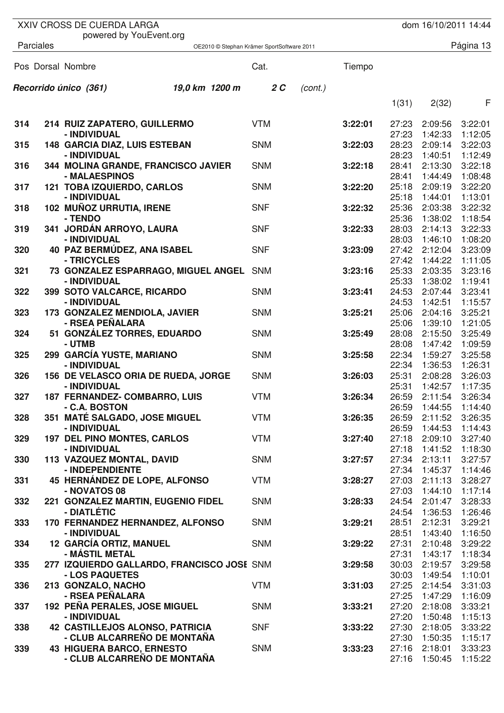|     |           | XXIV CROSS DE CUERDA LARGA                        |            |         |         |                | dom 16/10/2011 14:44 |                    |
|-----|-----------|---------------------------------------------------|------------|---------|---------|----------------|----------------------|--------------------|
|     |           | powered by YouEvent.org                           |            |         |         |                |                      |                    |
|     | Parciales | OE2010 © Stephan Krämer SportSoftware 2011        |            |         |         |                |                      | Página 13          |
|     |           | Pos Dorsal Nombre                                 | Cat.       |         | Tiempo  |                |                      |                    |
|     |           | 19,0 km 1200 m<br>Recorrido único (361)           | 2C         | (cont.) |         |                |                      |                    |
|     |           |                                                   |            |         |         | 1(31)          | 2(32)                | F                  |
| 314 |           | 214 RUIZ ZAPATERO, GUILLERMO                      | <b>VTM</b> |         | 3:22:01 | 27:23          | 2:09:56              | 3:22:01            |
|     |           | - INDIVIDUAL                                      |            |         |         | 27:23          | 1:42:33              | 1:12:05            |
| 315 |           | 148 GARCIA DIAZ, LUIS ESTEBAN<br>- INDIVIDUAL     | <b>SNM</b> |         | 3:22:03 | 28:23<br>28:23 | 2:09:14<br>1:40:51   | 3:22:03<br>1:12:49 |
| 316 |           | 344 MOLINA GRANDE, FRANCISCO JAVIER               | <b>SNM</b> |         | 3:22:18 | 28:41          | 2:13:30              | 3:22:18            |
| 317 |           | - MALAESPINOS<br>121 TOBA IZQUIERDO, CARLOS       | <b>SNM</b> |         | 3:22:20 | 28:41<br>25:18 | 1:44:49<br>2:09:19   | 1:08:48<br>3:22:20 |
|     |           | - INDIVIDUAL                                      |            |         |         | 25:18          | 1:44:01              | 1:13:01            |
| 318 |           | 102 MUÑOZ URRUTIA, IRENE                          | <b>SNF</b> |         | 3:22:32 | 25:36          | 2:03:38              | 3:22:32            |
|     |           | - TENDO                                           |            |         |         | 25:36          | 1:38:02<br>2:14:13   | 1:18:54            |
| 319 |           | 341 JORDÁN ARROYO, LAURA<br>- INDIVIDUAL          | <b>SNF</b> |         | 3:22:33 | 28:03<br>28:03 | 1:46:10              | 3:22:33<br>1:08:20 |
| 320 |           | 40 PAZ BERMÚDEZ, ANA ISABEL                       | <b>SNF</b> |         | 3:23:09 | 27:42          | 2:12:04              | 3:23:09            |
|     |           | - TRICYCLES                                       |            |         |         | 27:42          | 1:44:22              | 1:11:05            |
| 321 |           | 73 GONZALEZ ESPARRAGO, MIGUEL ANGEL SNM           |            |         | 3:23:16 | 25:33          | 2:03:35              | 3:23:16            |
|     |           | - INDIVIDUAL                                      |            |         |         | 25:33          | 1:38:02              | 1:19:41            |
| 322 |           | 399 SOTO VALCARCE, RICARDO                        | <b>SNM</b> |         | 3:23:41 | 24:53          | 2:07:44              | 3:23:41            |
|     |           | - INDIVIDUAL                                      |            |         |         | 24:53          | 1:42:51              | 1:15:57            |
| 323 |           | 173 GONZALEZ MENDIOLA, JAVIER                     | <b>SNM</b> |         | 3:25:21 | 25:06          | 2:04:16              | 3:25:21            |
|     |           | - RSEA PEÑALARA                                   |            |         |         | 25:06          | 1:39:10              | 1:21:05            |
| 324 |           | 51 GONZÁLEZ TORRES, EDUARDO                       | <b>SNM</b> |         | 3:25:49 | 28:08          | 2:15:50              | 3:25:49            |
| 325 |           | - UTMB<br>299 GARCÍA YUSTE, MARIANO               | <b>SNM</b> |         | 3:25:58 | 28:08<br>22:34 | 1:47:42<br>1:59:27   | 1:09:59<br>3:25:58 |
|     |           | - INDIVIDUAL                                      |            |         |         | 22:34          | 1:36:53              | 1:26:31            |
| 326 |           | 156 DE VELASCO ORIA DE RUEDA, JORGE               | <b>SNM</b> |         | 3:26:03 | 25:31          | 2:08:28              | 3:26:03            |
|     |           | - INDIVIDUAL                                      |            |         |         | 25:31          | 1:42:57              | 1:17:35            |
| 327 |           | <b>187 FERNANDEZ- COMBARRO, LUIS</b>              | <b>VTM</b> |         | 3:26:34 | 26:59          | 2:11:54              | 3:26:34            |
|     |           | - C.A. BOSTON                                     |            |         |         | 26:59          | 1:44:55              | 1:14:40            |
| 328 |           | 351 MATÉ SALGADO, JOSE MIGUEL                     | <b>VTM</b> |         | 3:26:35 | 26:59          | 2:11:52              | 3:26:35            |
|     |           | - INDIVIDUAL                                      |            |         |         | 26:59          | 1:44:53              | 1:14:43            |
| 329 |           | <b>197 DEL PINO MONTES, CARLOS</b>                | <b>VTM</b> |         | 3:27:40 | 27:18          | 2:09:10              | 3:27:40            |
|     |           | - INDIVIDUAL                                      |            |         |         | 27:18          | 1:41:52              | 1:18:30            |
| 330 |           | 113 VAZQUEZ MONTAL, DAVID                         | <b>SNM</b> |         | 3:27:57 | 27:34          | 2:13:11              | 3:27:57            |
|     |           | - INDEPENDIENTE                                   |            |         |         | 27:34          | 1:45:37              | 1:14:46            |
| 331 |           | 45 HERNÁNDEZ DE LOPE, ALFONSO                     | <b>VTM</b> |         | 3:28:27 | 27:03          | 2:11:13              | 3:28:27            |
|     |           | - NOVATOS 08                                      |            |         |         | 27:03          | 1:44:10              | 1:17:14            |
| 332 |           | 221 GONZALEZ MARTIN, EUGENIO FIDEL<br>- DIATLÉTIC | <b>SNM</b> |         | 3:28:33 | 24:54<br>24:54 | 2:01:47<br>1:36:53   | 3:28:33<br>1:26:46 |
| 333 |           | 170 FERNANDEZ HERNANDEZ, ALFONSO                  | <b>SNM</b> |         | 3:29:21 | 28:51          | 2:12:31              | 3:29:21            |
|     |           | - INDIVIDUAL                                      |            |         |         | 28:51          | 1:43:40              | 1:16:50            |
| 334 |           | <b>12 GARCÍA ORTIZ, MANUEL</b>                    | <b>SNM</b> |         | 3:29:22 | 27:31          | 2:10:48              | 3:29:22            |
|     |           | - MÁSTIL METAL                                    |            |         |         | 27:31          | 1:43:17              | 1:18:34            |
| 335 |           | 277 IZQUIERDO GALLARDO, FRANCISCO JOSE SNM        |            |         | 3:29:58 | 30:03          | 2:19:57              | 3:29:58            |
|     |           | - LOS PAQUETES                                    |            |         |         | 30:03          | 1:49:54              | 1:10:01            |
| 336 |           | 213 GONZALO, NACHO                                | <b>VTM</b> |         | 3:31:03 | 27:25          | 2:14:54              | 3:31:03            |
|     |           | - RSEA PEÑALARA                                   |            |         |         | 27:25          | 1:47:29              | 1:16:09            |
| 337 |           | 192 PEÑA PERALES, JOSE MIGUEL                     | <b>SNM</b> |         | 3:33:21 | 27:20          | 2:18:08              | 3:33:21            |
|     |           | - INDIVIDUAL                                      |            |         |         | 27:20          | 1:50:48              | 1:15:13            |
| 338 |           | <b>42 CASTILLEJOS ALONSO, PATRICIA</b>            | <b>SNF</b> |         | 3:33:22 | 27:30          | 2:18:05              | 3:33:22            |
|     |           | - CLUB ALCARREÑO DE MONTAÑA                       |            |         |         | 27:30          | 1:50:35              | 1:15:17            |
| 339 |           | <b>43 HIGUERA BARCO, ERNESTO</b>                  | <b>SNM</b> |         | 3:33:23 | 27:16          | 2:18:01              | 3:33:23            |
|     |           | - CLUB ALCARREÑO DE MONTAÑA                       |            |         |         | 27:16          | 1:50:45              | 1:15:22            |